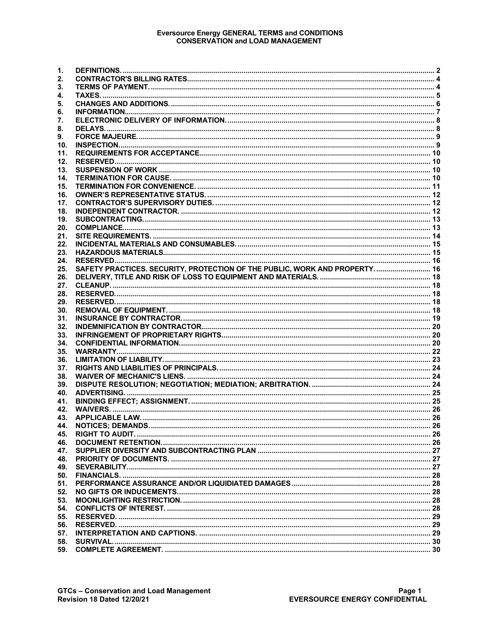# Eversource Energy GENERAL TERMS and CONDITIONS<br>CONSERVATION and LOAD MANAGEMENT

| SAFETY PRACTICES. SECURITY, PROTECTION OF THE PUBLIC, WORK AND PROPERTY 16 |
|----------------------------------------------------------------------------|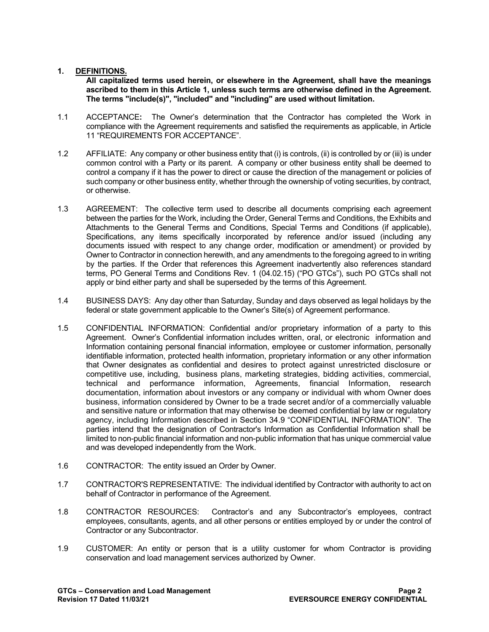### <span id="page-1-0"></span>**1. DEFINITIONS.**

**All capitalized terms used herein, or elsewhere in the Agreement, shall have the meanings ascribed to them in this Article 1, unless such terms are otherwise defined in the Agreement. The terms "include(s)", "included" and "including" are used without limitation.**

- 1.1 ACCEPTANCE**:** The Owner's determination that the Contractor has completed the Work in compliance with the Agreement requirements and satisfied the requirements as applicable, in Article 11 "REQUIREMENTS FOR ACCEPTANCE".
- 1.2 AFFILIATE: Any company or other business entity that (i) is controls, (ii) is controlled by or (iii) is under common control with a Party or its parent. A company or other business entity shall be deemed to control a company if it has the power to direct or cause the direction of the management or policies of such company or other business entity, whether through the ownership of voting securities, by contract, or otherwise.
- 1.3 AGREEMENT: The collective term used to describe all documents comprising each agreement between the parties for the Work, including the Order, General Terms and Conditions, the Exhibits and Attachments to the General Terms and Conditions, Special Terms and Conditions (if applicable), Specifications, any items specifically incorporated by reference and/or issued (including any documents issued with respect to any change order, modification or amendment) or provided by Owner to Contractor in connection herewith, and any amendments to the foregoing agreed to in writing by the parties. If the Order that references this Agreement inadvertently also references standard terms, PO General Terms and Conditions Rev. 1 (04.02.15) ("PO GTCs"), such PO GTCs shall not apply or bind either party and shall be superseded by the terms of this Agreement.
- 1.4 BUSINESS DAYS: Any day other than Saturday, Sunday and days observed as legal holidays by the federal or state government applicable to the Owner's Site(s) of Agreement performance.
- 1.5 CONFIDENTIAL INFORMATION: Confidential and/or proprietary information of a party to this Agreement. Owner's Confidential information includes written, oral, or electronic information and Information containing personal financial information, employee or customer information, personally identifiable information, protected health information, proprietary information or any other information that Owner designates as confidential and desires to protect against unrestricted disclosure or competitive use, including, business plans, marketing strategies, bidding activities, commercial, technical and performance information, Agreements, financial Information, research documentation, information about investors or any company or individual with whom Owner does business, information considered by Owner to be a trade secret and/or of a commercially valuable and sensitive nature or information that may otherwise be deemed confidential by law or regulatory agency, including Information described in Section 34.9 "CONFIDENTIAL INFORMATION". The parties intend that the designation of Contractor's Information as Confidential Information shall be limited to non-public financial information and non-public information that has unique commercial value and was developed independently from the Work.
- 1.6 CONTRACTOR: The entity issued an Order by Owner.
- 1.7 CONTRACTOR'S REPRESENTATIVE: The individual identified by Contractor with authority to act on behalf of Contractor in performance of the Agreement.
- 1.8 CONTRACTOR RESOURCES: Contractor's and any Subcontractor's employees, contract employees, consultants, agents, and all other persons or entities employed by or under the control of Contractor or any Subcontractor.
- 1.9 CUSTOMER: An entity or person that is a utility customer for whom Contractor is providing conservation and load management services authorized by Owner.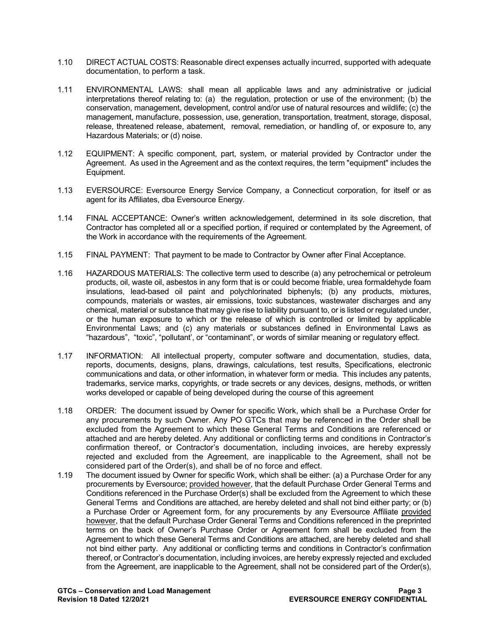- 1.10 DIRECT ACTUAL COSTS: Reasonable direct expenses actually incurred, supported with adequate documentation, to perform a task.
- 1.11 ENVIRONMENTAL LAWS: shall mean all applicable laws and any administrative or judicial interpretations thereof relating to: (a) the regulation, protection or use of the environment; (b) the conservation, management, development, control and/or use of natural resources and wildlife; (c) the management, manufacture, possession, use, generation, transportation, treatment, storage, disposal, release, threatened release, abatement, removal, remediation, or handling of, or exposure to, any Hazardous Materials; or (d) noise.
- 1.12 EQUIPMENT: A specific component, part, system, or material provided by Contractor under the Agreement. As used in the Agreement and as the context requires, the term "equipment" includes the Equipment.
- 1.13 EVERSOURCE: Eversource Energy Service Company, a Connecticut corporation, for itself or as agent for its Affiliates, dba Eversource Energy.
- 1.14 FINAL ACCEPTANCE: Owner's written acknowledgement, determined in its sole discretion, that Contractor has completed all or a specified portion, if required or contemplated by the Agreement, of the Work in accordance with the requirements of the Agreement.
- 1.15 FINAL PAYMENT: That payment to be made to Contractor by Owner after Final Acceptance.
- 1.16 HAZARDOUS MATERIALS: The collective term used to describe (a) any petrochemical or petroleum products, oil, waste oil, asbestos in any form that is or could become friable, urea formaldehyde foam insulations, lead-based oil paint and polychlorinated biphenyls; (b) any products, mixtures, compounds, materials or wastes, air emissions, toxic substances, wastewater discharges and any chemical, material or substance that may give rise to liability pursuant to, or is listed or regulated under, or the human exposure to which or the release of which is controlled or limited by applicable Environmental Laws; and (c) any materials or substances defined in Environmental Laws as "hazardous", "toxic", "pollutant', or "contaminant", or words of similar meaning or regulatory effect.
- 1.17 INFORMATION: All intellectual property, computer software and documentation, studies, data, reports, documents, designs, plans, drawings, calculations, test results, Specifications, electronic communications and data, or other information, in whatever form or media. This includes any patents, trademarks, service marks, copyrights, or trade secrets or any devices, designs, methods, or written works developed or capable of being developed during the course of this agreement
- 1.18 ORDER: The document issued by Owner for specific Work, which shall be a Purchase Order for any procurements by such Owner. Any PO GTCs that may be referenced in the Order shall be excluded from the Agreement to which these General Terms and Conditions are referenced or attached and are hereby deleted. Any additional or conflicting terms and conditions in Contractor's confirmation thereof, or Contractor's documentation, including invoices, are hereby expressly rejected and excluded from the Agreement, are inapplicable to the Agreement, shall not be considered part of the Order(s), and shall be of no force and effect.
- 1.19 The document issued by Owner for specific Work, which shall be either: (a) a Purchase Order for any procurements by Eversource; provided however, that the default Purchase Order General Terms and Conditions referenced in the Purchase Order(s) shall be excluded from the Agreement to which these General Terms and Conditions are attached, are hereby deleted and shall not bind either party; or (b) a Purchase Order or Agreement form, for any procurements by any Eversource Affiliate provided however, that the default Purchase Order General Terms and Conditions referenced in the preprinted terms on the back of Owner's Purchase Order or Agreement form shall be excluded from the Agreement to which these General Terms and Conditions are attached, are hereby deleted and shall not bind either party. Any additional or conflicting terms and conditions in Contractor's confirmation thereof, or Contractor's documentation, including invoices, are hereby expressly rejected and excluded from the Agreement, are inapplicable to the Agreement, shall not be considered part of the Order(s),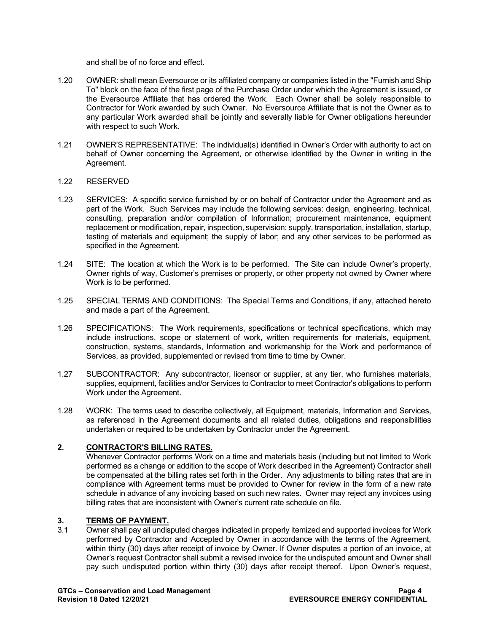and shall be of no force and effect.

- 1.20 OWNER: shall mean Eversource or its affiliated company or companies listed in the "Furnish and Ship To" block on the face of the first page of the Purchase Order under which the Agreement is issued, or the Eversource Affiliate that has ordered the Work. Each Owner shall be solely responsible to Contractor for Work awarded by such Owner. No Eversource Affiliate that is not the Owner as to any particular Work awarded shall be jointly and severally liable for Owner obligations hereunder with respect to such Work.
- 1.21 OWNER'S REPRESENTATIVE: The individual(s) identified in Owner's Order with authority to act on behalf of Owner concerning the Agreement, or otherwise identified by the Owner in writing in the Agreement.

#### 1.22 RESERVED

- 1.23 SERVICES: A specific service furnished by or on behalf of Contractor under the Agreement and as part of the Work. Such Services may include the following services: design, engineering, technical, consulting, preparation and/or compilation of Information; procurement maintenance, equipment replacement or modification, repair, inspection, supervision; supply, transportation, installation, startup, testing of materials and equipment; the supply of labor; and any other services to be performed as specified in the Agreement.
- 1.24 SITE: The location at which the Work is to be performed. The Site can include Owner's property, Owner rights of way, Customer's premises or property, or other property not owned by Owner where Work is to be performed.
- 1.25 SPECIAL TERMS AND CONDITIONS: The Special Terms and Conditions, if any, attached hereto and made a part of the Agreement.
- 1.26 SPECIFICATIONS: The Work requirements, specifications or technical specifications, which may include instructions, scope or statement of work, written requirements for materials, equipment, construction, systems, standards, Information and workmanship for the Work and performance of Services, as provided, supplemented or revised from time to time by Owner.
- 1.27 SUBCONTRACTOR: Any subcontractor, licensor or supplier, at any tier, who furnishes materials, supplies, equipment, facilities and/or Services to Contractor to meet Contractor's obligations to perform Work under the Agreement.
- 1.28 WORK: The terms used to describe collectively, all Equipment, materials, Information and Services, as referenced in the Agreement documents and all related duties, obligations and responsibilities undertaken or required to be undertaken by Contractor under the Agreement.

## <span id="page-3-0"></span>**2. CONTRACTOR'S BILLING RATES.**

Whenever Contractor performs Work on a time and materials basis (including but not limited to Work performed as a change or addition to the scope of Work described in the Agreement) Contractor shall be compensated at the billing rates set forth in the Order. Any adjustments to billing rates that are in compliance with Agreement terms must be provided to Owner for review in the form of a new rate schedule in advance of any invoicing based on such new rates. Owner may reject any invoices using billing rates that are inconsistent with Owner's current rate schedule on file.

## <span id="page-3-1"></span>**3. TERMS OF PAYMENT.**<br>3.1 Owner shall pay all undis

Owner shall pay all undisputed charges indicated in properly itemized and supported invoices for Work performed by Contractor and Accepted by Owner in accordance with the terms of the Agreement, within thirty (30) days after receipt of invoice by Owner. If Owner disputes a portion of an invoice, at Owner's request Contractor shall submit a revised invoice for the undisputed amount and Owner shall pay such undisputed portion within thirty (30) days after receipt thereof. Upon Owner's request,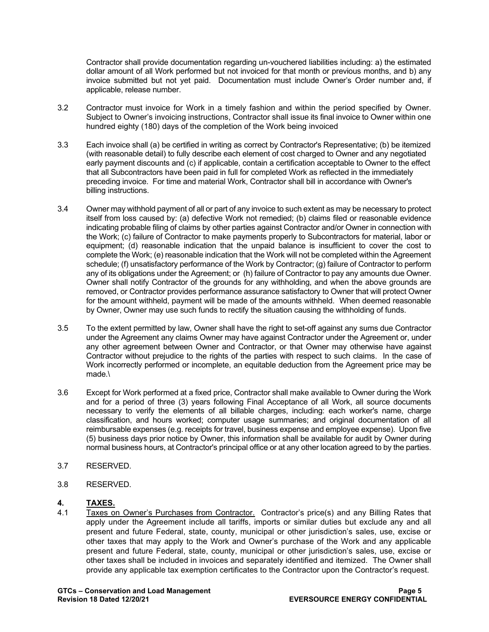Contractor shall provide documentation regarding un-vouchered liabilities including: a) the estimated dollar amount of all Work performed but not invoiced for that month or previous months, and b) any invoice submitted but not yet paid. Documentation must include Owner's Order number and, if applicable, release number.

- 3.2 Contractor must invoice for Work in a timely fashion and within the period specified by Owner. Subject to Owner's invoicing instructions, Contractor shall issue its final invoice to Owner within one hundred eighty (180) days of the completion of the Work being invoiced
- 3.3 Each invoice shall (a) be certified in writing as correct by Contractor's Representative; (b) be itemized (with reasonable detail) to fully describe each element of cost charged to Owner and any negotiated early payment discounts and (c) if applicable, contain a certification acceptable to Owner to the effect that all Subcontractors have been paid in full for completed Work as reflected in the immediately preceding invoice. For time and material Work, Contractor shall bill in accordance with Owner's billing instructions.
- 3.4 Owner may withhold payment of all or part of any invoice to such extent as may be necessary to protect itself from loss caused by: (a) defective Work not remedied; (b) claims filed or reasonable evidence indicating probable filing of claims by other parties against Contractor and/or Owner in connection with the Work; (c) failure of Contractor to make payments properly to Subcontractors for material, labor or equipment; (d) reasonable indication that the unpaid balance is insufficient to cover the cost to complete the Work; (e) reasonable indication that the Work will not be completed within the Agreement schedule; (f) unsatisfactory performance of the Work by Contractor; (g) failure of Contractor to perform any of its obligations under the Agreement; or (h) failure of Contractor to pay any amounts due Owner. Owner shall notify Contractor of the grounds for any withholding, and when the above grounds are removed, or Contractor provides performance assurance satisfactory to Owner that will protect Owner for the amount withheld, payment will be made of the amounts withheld. When deemed reasonable by Owner, Owner may use such funds to rectify the situation causing the withholding of funds.
- 3.5 To the extent permitted by law, Owner shall have the right to set-off against any sums due Contractor under the Agreement any claims Owner may have against Contractor under the Agreement or, under any other agreement between Owner and Contractor, or that Owner may otherwise have against Contractor without prejudice to the rights of the parties with respect to such claims. In the case of Work incorrectly performed or incomplete, an equitable deduction from the Agreement price may be made.\
- 3.6 Except for Work performed at a fixed price, Contractor shall make available to Owner during the Work and for a period of three (3) years following Final Acceptance of all Work, all source documents necessary to verify the elements of all billable charges, including: each worker's name, charge classification, and hours worked; computer usage summaries; and original documentation of all reimbursable expenses (e.g. receipts for travel, business expense and employee expense). Upon five (5) business days prior notice by Owner, this information shall be available for audit by Owner during normal business hours, at Contractor's principal office or at any other location agreed to by the parties.
- 3.7 RESERVED.
- 3.8 RESERVED.

## <span id="page-4-0"></span>**4. TAXES.**

4.1 Taxes on Owner's Purchases from Contractor. Contractor's price(s) and any Billing Rates that apply under the Agreement include all tariffs, imports or similar duties but exclude any and all present and future Federal, state, county, municipal or other jurisdiction's sales, use, excise or other taxes that may apply to the Work and Owner's purchase of the Work and any applicable present and future Federal, state, county, municipal or other jurisdiction's sales, use, excise or other taxes shall be included in invoices and separately identified and itemized. The Owner shall provide any applicable tax exemption certificates to the Contractor upon the Contractor's request.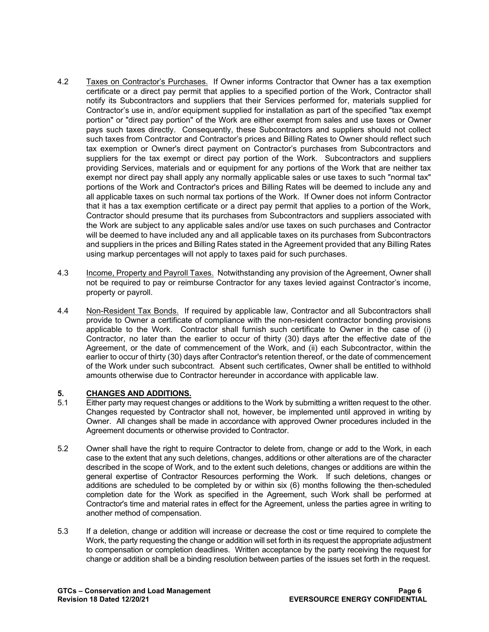- 4.2 Taxes on Contractor's Purchases. If Owner informs Contractor that Owner has a tax exemption certificate or a direct pay permit that applies to a specified portion of the Work, Contractor shall notify its Subcontractors and suppliers that their Services performed for, materials supplied for Contractor's use in, and/or equipment supplied for installation as part of the specified "tax exempt portion" or "direct pay portion" of the Work are either exempt from sales and use taxes or Owner pays such taxes directly. Consequently, these Subcontractors and suppliers should not collect such taxes from Contractor and Contractor's prices and Billing Rates to Owner should reflect such tax exemption or Owner's direct payment on Contractor's purchases from Subcontractors and suppliers for the tax exempt or direct pay portion of the Work. Subcontractors and suppliers providing Services, materials and or equipment for any portions of the Work that are neither tax exempt nor direct pay shall apply any normally applicable sales or use taxes to such "normal tax" portions of the Work and Contractor's prices and Billing Rates will be deemed to include any and all applicable taxes on such normal tax portions of the Work. If Owner does not inform Contractor that it has a tax exemption certificate or a direct pay permit that applies to a portion of the Work, Contractor should presume that its purchases from Subcontractors and suppliers associated with the Work are subject to any applicable sales and/or use taxes on such purchases and Contractor will be deemed to have included any and all applicable taxes on its purchases from Subcontractors and suppliers in the prices and Billing Rates stated in the Agreement provided that any Billing Rates using markup percentages will not apply to taxes paid for such purchases.
- 4.3 Income, Property and Payroll Taxes. Notwithstanding any provision of the Agreement, Owner shall not be required to pay or reimburse Contractor for any taxes levied against Contractor's income, property or payroll.
- 4.4 Non-Resident Tax Bonds. If required by applicable law, Contractor and all Subcontractors shall provide to Owner a certificate of compliance with the non-resident contractor bonding provisions applicable to the Work. Contractor shall furnish such certificate to Owner in the case of (i) Contractor, no later than the earlier to occur of thirty (30) days after the effective date of the Agreement, or the date of commencement of the Work, and (ii) each Subcontractor, within the earlier to occur of thirty (30) days after Contractor's retention thereof, or the date of commencement of the Work under such subcontract. Absent such certificates, Owner shall be entitled to withhold amounts otherwise due to Contractor hereunder in accordance with applicable law.

## <span id="page-5-0"></span>**5. CHANGES AND ADDITIONS.**

- 5.1 Either party may request changes or additions to the Work by submitting a written request to the other. Changes requested by Contractor shall not, however, be implemented until approved in writing by Owner. All changes shall be made in accordance with approved Owner procedures included in the Agreement documents or otherwise provided to Contractor.
- 5.2 Owner shall have the right to require Contractor to delete from, change or add to the Work, in each case to the extent that any such deletions, changes, additions or other alterations are of the character described in the scope of Work, and to the extent such deletions, changes or additions are within the general expertise of Contractor Resources performing the Work. If such deletions, changes or additions are scheduled to be completed by or within six (6) months following the then-scheduled completion date for the Work as specified in the Agreement, such Work shall be performed at Contractor's time and material rates in effect for the Agreement, unless the parties agree in writing to another method of compensation.
- 5.3 If a deletion, change or addition will increase or decrease the cost or time required to complete the Work, the party requesting the change or addition will set forth in its request the appropriate adjustment to compensation or completion deadlines. Written acceptance by the party receiving the request for change or addition shall be a binding resolution between parties of the issues set forth in the request.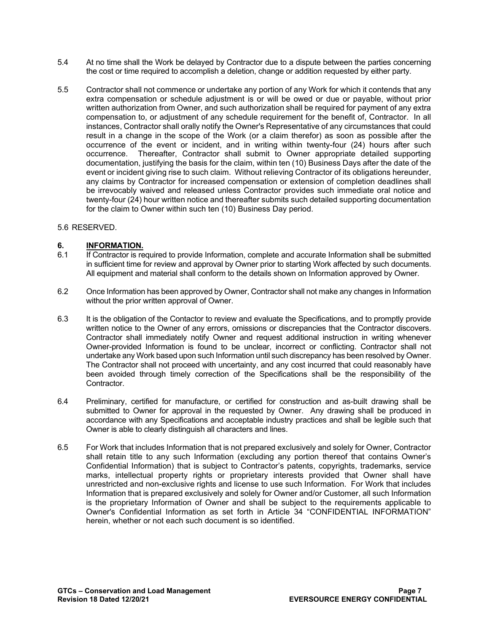- 5.4 At no time shall the Work be delayed by Contractor due to a dispute between the parties concerning the cost or time required to accomplish a deletion, change or addition requested by either party.
- 5.5 Contractor shall not commence or undertake any portion of any Work for which it contends that any extra compensation or schedule adjustment is or will be owed or due or payable, without prior written authorization from Owner, and such authorization shall be required for payment of any extra compensation to, or adjustment of any schedule requirement for the benefit of, Contractor. In all instances, Contractor shall orally notify the Owner's Representative of any circumstances that could result in a change in the scope of the Work (or a claim therefor) as soon as possible after the occurrence of the event or incident, and in writing within twenty-four (24) hours after such occurrence. Thereafter, Contractor shall submit to Owner appropriate detailed supporting documentation, justifying the basis for the claim, within ten (10) Business Days after the date of the event or incident giving rise to such claim. Without relieving Contractor of its obligations hereunder, any claims by Contractor for increased compensation or extension of completion deadlines shall be irrevocably waived and released unless Contractor provides such immediate oral notice and twenty-four (24) hour written notice and thereafter submits such detailed supporting documentation for the claim to Owner within such ten (10) Business Day period.

#### 5.6 RESERVED.

## <span id="page-6-0"></span>**6. INFORMATION.**<br>6.1 **If Contractor is re**

- If Contractor is required to provide Information, complete and accurate Information shall be submitted in sufficient time for review and approval by Owner prior to starting Work affected by such documents. All equipment and material shall conform to the details shown on Information approved by Owner.
- 6.2 Once Information has been approved by Owner, Contractor shall not make any changes in Information without the prior written approval of Owner.
- 6.3 It is the obligation of the Contactor to review and evaluate the Specifications, and to promptly provide written notice to the Owner of any errors, omissions or discrepancies that the Contractor discovers. Contractor shall immediately notify Owner and request additional instruction in writing whenever Owner-provided Information is found to be unclear, incorrect or conflicting. Contractor shall not undertake any Work based upon such Information until such discrepancy has been resolved by Owner. The Contractor shall not proceed with uncertainty, and any cost incurred that could reasonably have been avoided through timely correction of the Specifications shall be the responsibility of the Contractor.
- 6.4 Preliminary, certified for manufacture, or certified for construction and as-built drawing shall be submitted to Owner for approval in the requested by Owner. Any drawing shall be produced in accordance with any Specifications and acceptable industry practices and shall be legible such that Owner is able to clearly distinguish all characters and lines.
- 6.5 For Work that includes Information that is not prepared exclusively and solely for Owner, Contractor shall retain title to any such Information (excluding any portion thereof that contains Owner's Confidential Information) that is subject to Contractor's patents, copyrights, trademarks, service marks, intellectual property rights or proprietary interests provided that Owner shall have unrestricted and non-exclusive rights and license to use such Information. For Work that includes Information that is prepared exclusively and solely for Owner and/or Customer, all such Information is the proprietary Information of Owner and shall be subject to the requirements applicable to Owner's Confidential Information as set forth in Article 34 "CONFIDENTIAL INFORMATION" herein, whether or not each such document is so identified.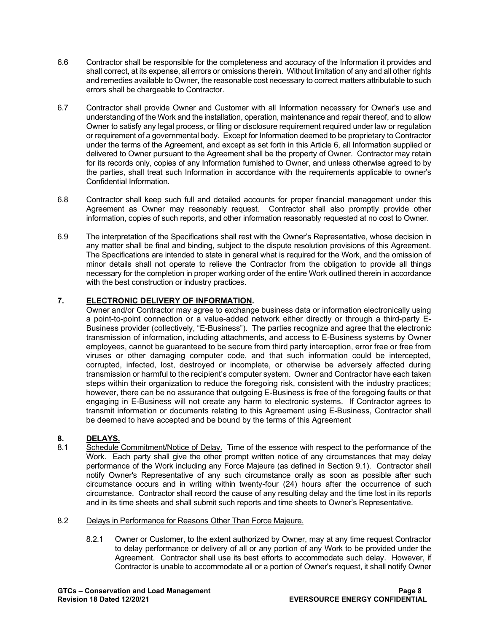- 6.6 Contractor shall be responsible for the completeness and accuracy of the Information it provides and shall correct, at its expense, all errors or omissions therein. Without limitation of any and all other rights and remedies available to Owner, the reasonable cost necessary to correct matters attributable to such errors shall be chargeable to Contractor.
- 6.7 Contractor shall provide Owner and Customer with all Information necessary for Owner's use and understanding of the Work and the installation, operation, maintenance and repair thereof, and to allow Owner to satisfy any legal process, or filing or disclosure requirement required under law or regulation or requirement of a governmental body. Except for Information deemed to be proprietary to Contractor under the terms of the Agreement, and except as set forth in this Article 6, all Information supplied or delivered to Owner pursuant to the Agreement shall be the property of Owner. Contractor may retain for its records only, copies of any Information furnished to Owner, and unless otherwise agreed to by the parties, shall treat such Information in accordance with the requirements applicable to owner's Confidential Information.
- 6.8 Contractor shall keep such full and detailed accounts for proper financial management under this Agreement as Owner may reasonably request. Contractor shall also promptly provide other information, copies of such reports, and other information reasonably requested at no cost to Owner.
- 6.9 The interpretation of the Specifications shall rest with the Owner's Representative, whose decision in any matter shall be final and binding, subject to the dispute resolution provisions of this Agreement. The Specifications are intended to state in general what is required for the Work, and the omission of minor details shall not operate to relieve the Contractor from the obligation to provide all things necessary for the completion in proper working order of the entire Work outlined therein in accordance with the best construction or industry practices.

## <span id="page-7-0"></span>**7. ELECTRONIC DELIVERY OF INFORMATION.**

Owner and/or Contractor may agree to exchange business data or information electronically using a point-to-point connection or a value-added network either directly or through a third-party E-Business provider (collectively, "E-Business"). The parties recognize and agree that the electronic transmission of information, including attachments, and access to E-Business systems by Owner employees, cannot be guaranteed to be secure from third party interception, error free or free from viruses or other damaging computer code, and that such information could be intercepted, corrupted, infected, lost, destroyed or incomplete, or otherwise be adversely affected during transmission or harmful to the recipient's computer system. Owner and Contractor have each taken steps within their organization to reduce the foregoing risk, consistent with the industry practices; however, there can be no assurance that outgoing E-Business is free of the foregoing faults or that engaging in E-Business will not create any harm to electronic systems. If Contractor agrees to transmit information or documents relating to this Agreement using E-Business, Contractor shall be deemed to have accepted and be bound by the terms of this Agreement

## <span id="page-7-1"></span>**8. DELAYS.**

Schedule Commitment/Notice of Delay. Time of the essence with respect to the performance of the Work. Each party shall give the other prompt written notice of any circumstances that may delay performance of the Work including any Force Majeure (as defined in Section 9.1). Contractor shall notify Owner's Representative of any such circumstance orally as soon as possible after such circumstance occurs and in writing within twenty-four (24) hours after the occurrence of such circumstance. Contractor shall record the cause of any resulting delay and the time lost in its reports and in its time sheets and shall submit such reports and time sheets to Owner's Representative.

#### 8.2 Delays in Performance for Reasons Other Than Force Majeure.

8.2.1 Owner or Customer, to the extent authorized by Owner, may at any time request Contractor to delay performance or delivery of all or any portion of any Work to be provided under the Agreement. Contractor shall use its best efforts to accommodate such delay. However, if Contractor is unable to accommodate all or a portion of Owner's request, it shall notify Owner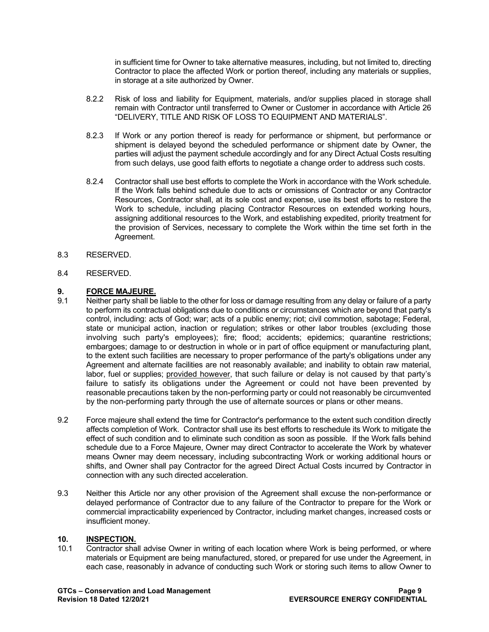in sufficient time for Owner to take alternative measures, including, but not limited to, directing Contractor to place the affected Work or portion thereof, including any materials or supplies, in storage at a site authorized by Owner.

- 8.2.2 Risk of loss and liability for Equipment, materials, and/or supplies placed in storage shall remain with Contractor until transferred to Owner or Customer in accordance with Article 26 "DELIVERY, TITLE AND RISK OF LOSS TO EQUIPMENT AND MATERIALS".
- 8.2.3 If Work or any portion thereof is ready for performance or shipment, but performance or shipment is delayed beyond the scheduled performance or shipment date by Owner, the parties will adjust the payment schedule accordingly and for any Direct Actual Costs resulting from such delays, use good faith efforts to negotiate a change order to address such costs.
- 8.2.4 Contractor shall use best efforts to complete the Work in accordance with the Work schedule. If the Work falls behind schedule due to acts or omissions of Contractor or any Contractor Resources, Contractor shall, at its sole cost and expense, use its best efforts to restore the Work to schedule, including placing Contractor Resources on extended working hours, assigning additional resources to the Work, and establishing expedited, priority treatment for the provision of Services, necessary to complete the Work within the time set forth in the Agreement.
- 8.3 RESERVED.
- 8.4 RESERVED.

## <span id="page-8-0"></span>**9.1 FORCE MAJEURE.**<br>9.1 **Neither party shall be**

- Neither party shall be liable to the other for loss or damage resulting from any delay or failure of a party to perform its contractual obligations due to conditions or circumstances which are beyond that party's control, including: acts of God; war; acts of a public enemy; riot; civil commotion, sabotage; Federal, state or municipal action, inaction or regulation; strikes or other labor troubles (excluding those involving such party's employees); fire; flood; accidents; epidemics; quarantine restrictions; embargoes; damage to or destruction in whole or in part of office equipment or manufacturing plant, to the extent such facilities are necessary to proper performance of the party's obligations under any Agreement and alternate facilities are not reasonably available; and inability to obtain raw material, labor, fuel or supplies; provided however, that such failure or delay is not caused by that party's failure to satisfy its obligations under the Agreement or could not have been prevented by reasonable precautions taken by the non-performing party or could not reasonably be circumvented by the non-performing party through the use of alternate sources or plans or other means.
- 9.2 Force majeure shall extend the time for Contractor's performance to the extent such condition directly affects completion of Work. Contractor shall use its best efforts to reschedule its Work to mitigate the effect of such condition and to eliminate such condition as soon as possible. If the Work falls behind schedule due to a Force Majeure, Owner may direct Contractor to accelerate the Work by whatever means Owner may deem necessary, including subcontracting Work or working additional hours or shifts, and Owner shall pay Contractor for the agreed Direct Actual Costs incurred by Contractor in connection with any such directed acceleration.
- 9.3 Neither this Article nor any other provision of the Agreement shall excuse the non-performance or delayed performance of Contractor due to any failure of the Contractor to prepare for the Work or commercial impracticability experienced by Contractor, including market changes, increased costs or insufficient money.

## <span id="page-8-1"></span>10. **INSPECTION.**<br>10.1 Contractor sha

Contractor shall advise Owner in writing of each location where Work is being performed, or where materials or Equipment are being manufactured, stored, or prepared for use under the Agreement, in each case, reasonably in advance of conducting such Work or storing such items to allow Owner to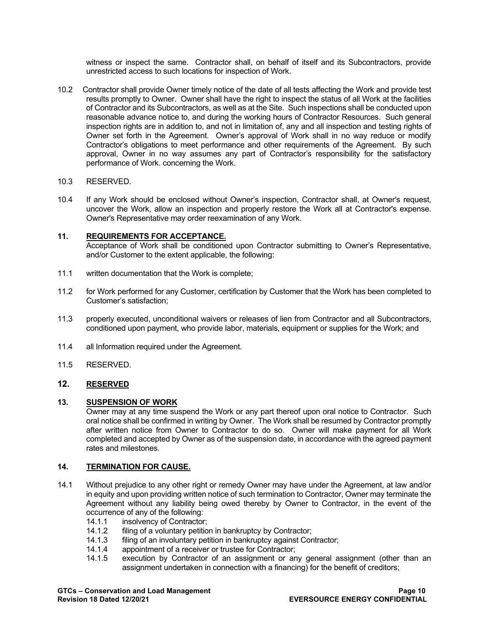witness or inspect the same. Contractor shall, on behalf of itself and its Subcontractors, provide unrestricted access to such locations for inspection of Work.

10.2 Contractor shall provide Owner timely notice of the date of all tests affecting the Work and provide test results promptly to Owner. Owner shall have the right to inspect the status of all Work at the facilities of Contractor and its Subcontractors, as well as at the Site. Such inspections shall be conducted upon reasonable advance notice to, and during the working hours of Contractor Resources. Such general inspection rights are in addition to, and not in limitation of, any and all inspection and testing rights of Owner set forth in the Agreement. Owner's approval of Work shall in no way reduce or modify Contractor's obligations to meet performance and other requirements of the Agreement. By such approval, Owner in no way assumes any part of Contractor's responsibility for the satisfactory performance of Work. concerning the Work.

#### 10.3 RESERVED.

10.4 If any Work should be enclosed without Owner's inspection, Contractor shall, at Owner's request, uncover the Work, allow an inspection and properly restore the Work all at Contractor's expense. Owner's Representative may order reexamination of any Work.

## <span id="page-9-0"></span>**11. REQUIREMENTS FOR ACCEPTANCE.**

- Acceptance of Work shall be conditioned upon Contractor submitting to Owner's Representative, and/or Customer to the extent applicable, the following:
- 11.1 written documentation that the Work is complete;
- 11.2 for Work performed for any Customer, certification by Customer that the Work has been completed to Customer's satisfaction;
- 11.3 properly executed, unconditional waivers or releases of lien from Contractor and all Subcontractors, conditioned upon payment, who provide labor, materials, equipment or supplies for the Work; and
- 11.4 all Information required under the Agreement.
- 11.5 RESERVED.

## <span id="page-9-1"></span>**12. RESERVED**

#### <span id="page-9-2"></span>**13. SUSPENSION OF WORK**

Owner may at any time suspend the Work or any part thereof upon oral notice to Contractor. Such oral notice shall be confirmed in writing by Owner. The Work shall be resumed by Contractor promptly after written notice from Owner to Contractor to do so. Owner will make payment for all Work completed and accepted by Owner as of the suspension date, in accordance with the agreed payment rates and milestones.

#### <span id="page-9-3"></span>**14. TERMINATION FOR CAUSE.**

- 14.1 Without prejudice to any other right or remedy Owner may have under the Agreement, at law and/or in equity and upon providing written notice of such termination to Contractor, Owner may terminate the Agreement without any liability being owed thereby by Owner to Contractor, in the event of the occurrence of any of the following:<br>14.1.1 insolvency of Contractor
	- insolvency of Contractor;
	- 14.1.2 filing of a voluntary petition in bankruptcy by Contractor;<br>14.1.3 filing of an involuntary petition in bankruptcy against Con
	- 14.1.3 filing of an involuntary petition in bankruptcy against Contractor;<br>14.1.4 appointment of a receiver or trustee for Contractor:
	- appointment of a receiver or trustee for Contractor;
	- 14.1.5 execution by Contractor of an assignment or any general assignment (other than an assignment undertaken in connection with a financing) for the benefit of creditors;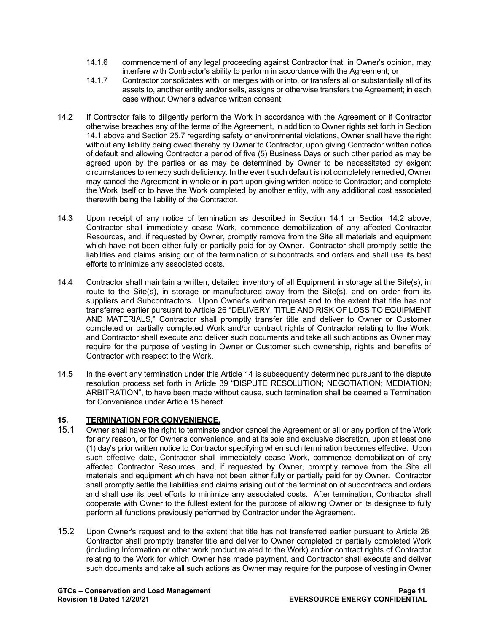- 14.1.6 commencement of any legal proceeding against Contractor that, in Owner's opinion, may interfere with Contractor's ability to perform in accordance with the Agreement; or
- 14.1.7 Contractor consolidates with, or merges with or into, or transfers all or substantially all of its assets to, another entity and/or sells, assigns or otherwise transfers the Agreement; in each case without Owner's advance written consent.
- 14.2 If Contractor fails to diligently perform the Work in accordance with the Agreement or if Contractor otherwise breaches any of the terms of the Agreement, in addition to Owner rights set forth in Section 14.1 above and Section 25.7 regarding safety or environmental violations, Owner shall have the right without any liability being owed thereby by Owner to Contractor, upon giving Contractor written notice of default and allowing Contractor a period of five (5) Business Days or such other period as may be agreed upon by the parties or as may be determined by Owner to be necessitated by exigent circumstances to remedy such deficiency. In the event such default is not completely remedied, Owner may cancel the Agreement in whole or in part upon giving written notice to Contractor; and complete the Work itself or to have the Work completed by another entity, with any additional cost associated therewith being the liability of the Contractor.
- 14.3 Upon receipt of any notice of termination as described in Section 14.1 or Section 14.2 above, Contractor shall immediately cease Work, commence demobilization of any affected Contractor Resources, and, if requested by Owner, promptly remove from the Site all materials and equipment which have not been either fully or partially paid for by Owner. Contractor shall promptly settle the liabilities and claims arising out of the termination of subcontracts and orders and shall use its best efforts to minimize any associated costs.
- 14.4 Contractor shall maintain a written, detailed inventory of all Equipment in storage at the Site(s), in route to the Site(s), in storage or manufactured away from the Site(s), and on order from its suppliers and Subcontractors. Upon Owner's written request and to the extent that title has not transferred earlier pursuant to Article 26 "DELIVERY, TITLE AND RISK OF LOSS TO EQUIPMENT AND MATERIALS," Contractor shall promptly transfer title and deliver to Owner or Customer completed or partially completed Work and/or contract rights of Contractor relating to the Work, and Contractor shall execute and deliver such documents and take all such actions as Owner may require for the purpose of vesting in Owner or Customer such ownership, rights and benefits of Contractor with respect to the Work.
- 14.5 In the event any termination under this Article 14 is subsequently determined pursuant to the dispute resolution process set forth in Article 39 "DISPUTE RESOLUTION; NEGOTIATION; MEDIATION; ARBITRATION", to have been made without cause, such termination shall be deemed a Termination for Convenience under Article 15 hereof.

## <span id="page-10-0"></span>**15. TERMINATION FOR CONVENIENCE.**

- 15.1 Owner shall have the right to terminate and/or cancel the Agreement or all or any portion of the Work for any reason, or for Owner's convenience, and at its sole and exclusive discretion, upon at least one (1) day's prior written notice to Contractor specifying when such termination becomes effective. Upon such effective date, Contractor shall immediately cease Work, commence demobilization of any affected Contractor Resources, and, if requested by Owner, promptly remove from the Site all materials and equipment which have not been either fully or partially paid for by Owner. Contractor shall promptly settle the liabilities and claims arising out of the termination of subcontracts and orders and shall use its best efforts to minimize any associated costs. After termination, Contractor shall cooperate with Owner to the fullest extent for the purpose of allowing Owner or its designee to fully perform all functions previously performed by Contractor under the Agreement.
- 15.2 Upon Owner's request and to the extent that title has not transferred earlier pursuant to Article 26, Contractor shall promptly transfer title and deliver to Owner completed or partially completed Work (including Information or other work product related to the Work) and/or contract rights of Contractor relating to the Work for which Owner has made payment, and Contractor shall execute and deliver such documents and take all such actions as Owner may require for the purpose of vesting in Owner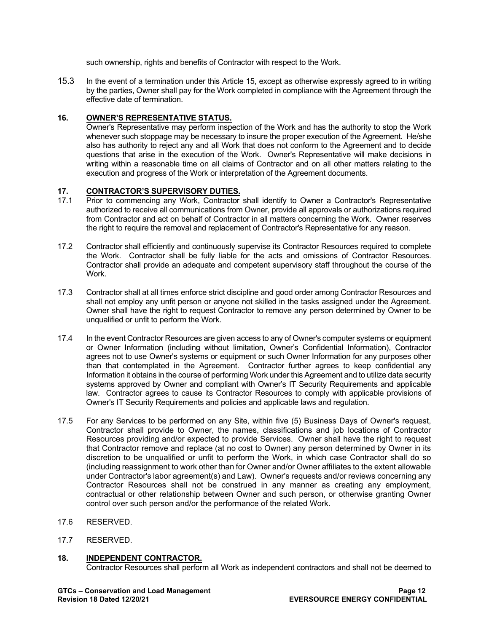such ownership, rights and benefits of Contractor with respect to the Work.

15.3 In the event of a termination under this Article 15, except as otherwise expressly agreed to in writing by the parties, Owner shall pay for the Work completed in compliance with the Agreement through the effective date of termination.

## <span id="page-11-0"></span>**16. OWNER'S REPRESENTATIVE STATUS.**

Owner's Representative may perform inspection of the Work and has the authority to stop the Work whenever such stoppage may be necessary to insure the proper execution of the Agreement. He/she also has authority to reject any and all Work that does not conform to the Agreement and to decide questions that arise in the execution of the Work. Owner's Representative will make decisions in writing within a reasonable time on all claims of Contractor and on all other matters relating to the execution and progress of the Work or interpretation of the Agreement documents.

## <span id="page-11-1"></span>**17. CONTRACTOR'S SUPERVISORY DUTIES.**

- 17.1 Prior to commencing any Work, Contractor shall identify to Owner a Contractor's Representative authorized to receive all communications from Owner, provide all approvals or authorizations required from Contractor and act on behalf of Contractor in all matters concerning the Work. Owner reserves the right to require the removal and replacement of Contractor's Representative for any reason.
- 17.2 Contractor shall efficiently and continuously supervise its Contractor Resources required to complete the Work. Contractor shall be fully liable for the acts and omissions of Contractor Resources. Contractor shall provide an adequate and competent supervisory staff throughout the course of the Work.
- 17.3 Contractor shall at all times enforce strict discipline and good order among Contractor Resources and shall not employ any unfit person or anyone not skilled in the tasks assigned under the Agreement. Owner shall have the right to request Contractor to remove any person determined by Owner to be unqualified or unfit to perform the Work.
- 17.4 In the event Contractor Resources are given access to any of Owner's computer systems or equipment or Owner Information (including without limitation, Owner's Confidential Information), Contractor agrees not to use Owner's systems or equipment or such Owner Information for any purposes other than that contemplated in the Agreement. Contractor further agrees to keep confidential any Information it obtains in the course of performing Work under this Agreement and to utilize data security systems approved by Owner and compliant with Owner's IT Security Requirements and applicable law. Contractor agrees to cause its Contractor Resources to comply with applicable provisions of Owner's IT Security Requirements and policies and applicable laws and regulation.
- 17.5 For any Services to be performed on any Site, within five (5) Business Days of Owner's request, Contractor shall provide to Owner, the names, classifications and job locations of Contractor Resources providing and/or expected to provide Services. Owner shall have the right to request that Contractor remove and replace (at no cost to Owner) any person determined by Owner in its discretion to be unqualified or unfit to perform the Work, in which case Contractor shall do so (including reassignment to work other than for Owner and/or Owner affiliates to the extent allowable under Contractor's labor agreement(s) and Law). Owner's requests and/or reviews concerning any Contractor Resources shall not be construed in any manner as creating any employment, contractual or other relationship between Owner and such person, or otherwise granting Owner control over such person and/or the performance of the related Work.
- 17.6 RESERVED.
- 17.7 RESERVED.

## <span id="page-11-2"></span>**18. INDEPENDENT CONTRACTOR.**

Contractor Resources shall perform all Work as independent contractors and shall not be deemed to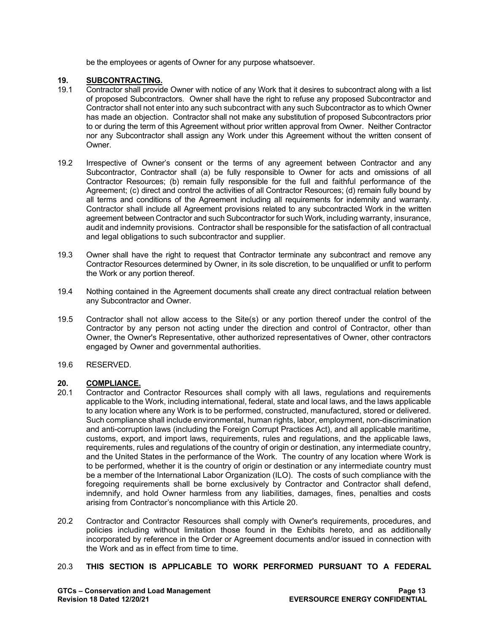be the employees or agents of Owner for any purpose whatsoever.

## <span id="page-12-0"></span>**19. SUBCONTRACTING.**

- 19.1 Contractor shall provide Owner with notice of any Work that it desires to subcontract along with a list of proposed Subcontractors. Owner shall have the right to refuse any proposed Subcontractor and Contractor shall not enter into any such subcontract with any such Subcontractor as to which Owner has made an objection. Contractor shall not make any substitution of proposed Subcontractors prior to or during the term of this Agreement without prior written approval from Owner. Neither Contractor nor any Subcontractor shall assign any Work under this Agreement without the written consent of Owner.
- 19.2 Irrespective of Owner's consent or the terms of any agreement between Contractor and any Subcontractor, Contractor shall (a) be fully responsible to Owner for acts and omissions of all Contractor Resources; (b) remain fully responsible for the full and faithful performance of the Agreement; (c) direct and control the activities of all Contractor Resources; (d) remain fully bound by all terms and conditions of the Agreement including all requirements for indemnity and warranty. Contractor shall include all Agreement provisions related to any subcontracted Work in the written agreement between Contractor and such Subcontractor for such Work, including warranty, insurance, audit and indemnity provisions. Contractor shall be responsible for the satisfaction of all contractual and legal obligations to such subcontractor and supplier.
- 19.3 Owner shall have the right to request that Contractor terminate any subcontract and remove any Contractor Resources determined by Owner, in its sole discretion, to be unqualified or unfit to perform the Work or any portion thereof.
- 19.4 Nothing contained in the Agreement documents shall create any direct contractual relation between any Subcontractor and Owner.
- 19.5 Contractor shall not allow access to the Site(s) or any portion thereof under the control of the Contractor by any person not acting under the direction and control of Contractor, other than Owner, the Owner's Representative, other authorized representatives of Owner, other contractors engaged by Owner and governmental authorities.
- 19.6 RESERVED.

## <span id="page-12-1"></span>20. **COMPLIANCE.**<br>20.1 Contractor and

- 20.1 Contractor and Contractor Resources shall comply with all laws, regulations and requirements applicable to the Work, including international, federal, state and local laws, and the laws applicable to any location where any Work is to be performed, constructed, manufactured, stored or delivered. Such compliance shall include environmental, human rights, labor, employment, non-discrimination and anti-corruption laws (including the Foreign Corrupt Practices Act), and all applicable maritime, customs, export, and import laws, requirements, rules and regulations, and the applicable laws, requirements, rules and regulations of the country of origin or destination, any intermediate country, and the United States in the performance of the Work. The country of any location where Work is to be performed, whether it is the country of origin or destination or any intermediate country must be a member of the International Labor Organization (ILO). The costs of such compliance with the foregoing requirements shall be borne exclusively by Contractor and Contractor shall defend, indemnify, and hold Owner harmless from any liabilities, damages, fines, penalties and costs arising from Contractor's noncompliance with this Article 20.
- 20.2 Contractor and Contractor Resources shall comply with Owner's requirements, procedures, and policies including without limitation those found in the Exhibits hereto, and as additionally incorporated by reference in the Order or Agreement documents and/or issued in connection with the Work and as in effect from time to time.

## 20.3 **THIS SECTION IS APPLICABLE TO WORK PERFORMED PURSUANT TO A FEDERAL**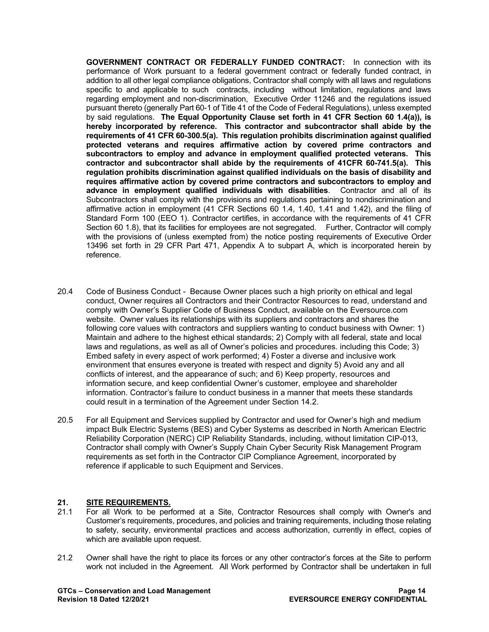**GOVERNMENT CONTRACT OR FEDERALLY FUNDED CONTRACT:** In connection with its performance of Work pursuant to a federal government contract or federally funded contract, in addition to all other legal compliance obligations, Contractor shall comply with all laws and regulations specific to and applicable to such contracts, including without limitation, regulations and laws regarding employment and non-discrimination, Executive Order 11246 and the regulations issued pursuant thereto (generally Part 60-1 of Title 41 of the Code of Federal Regulations), unless exempted by said regulations. **The Equal Opportunity Clause set forth in 41 CFR Section 60 1.4(a)), is hereby incorporated by reference. This contractor and subcontractor shall abide by the requirements of 41 CFR 60-300.5(a). This regulation prohibits discrimination against qualified protected veterans and requires affirmative action by covered prime contractors and subcontractors to employ and advance in employment qualified protected veterans. This contractor and subcontractor shall abide by the requirements of 41CFR 60-741.5(a). This regulation prohibits discrimination against qualified individuals on the basis of disability and requires affirmative action by covered prime contractors and subcontractors to employ and advance in employment qualified individuals with disabilities**. Contractor and all of its Subcontractors shall comply with the provisions and regulations pertaining to nondiscrimination and affirmative action in employment (41 CFR Sections 60 1.4, 1.40, 1.41 and 1.42), and the filing of Standard Form 100 (EEO 1). Contractor certifies, in accordance with the requirements of 41 CFR Section 60 1.8), that its facilities for employees are not segregated. Further, Contractor will comply with the provisions of (unless exempted from) the notice posting requirements of Executive Order 13496 set forth in 29 CFR Part 471, Appendix A to subpart A, which is incorporated herein by reference.

- 20.4 Code of Business Conduct Because Owner places such a high priority on ethical and legal conduct, Owner requires all Contractors and their Contractor Resources to read, understand and comply with Owner's Supplier Code of Business Conduct, available on the Eversource.com website. Owner values its relationships with its suppliers and contractors and shares the following core values with contractors and suppliers wanting to conduct business with Owner: 1) Maintain and adhere to the highest ethical standards; 2) Comply with all federal, state and local laws and regulations, as well as all of Owner's policies and procedures. including this Code; 3) Embed safety in every aspect of work performed; 4) Foster a diverse and inclusive work environment that ensures everyone is treated with respect and dignity 5) Avoid any and all conflicts of interest, and the appearance of such; and 6) Keep property, resources and information secure, and keep confidential Owner's customer, employee and shareholder information. Contractor's failure to conduct business in a manner that meets these standards could result in a termination of the Agreement under Section 14.2.
- 20.5 For all Equipment and Services supplied by Contractor and used for Owner's high and medium impact Bulk Electric Systems (BES) and Cyber Systems as described in North American Electric Reliability Corporation (NERC) CIP Reliability Standards, including, without limitation CIP-013, Contractor shall comply with Owner's Supply Chain Cyber Security Risk Management Program requirements as set forth in the Contractor CIP Compliance Agreement, incorporated by reference if applicable to such Equipment and Services.

#### <span id="page-13-0"></span>**21. SITE REQUIREMENTS.**

- 21.1 For all Work to be performed at a Site, Contractor Resources shall comply with Owner's and Customer's requirements, procedures, and policies and training requirements, including those relating to safety, security, environmental practices and access authorization, currently in effect, copies of which are available upon request.
- 21.2 Owner shall have the right to place its forces or any other contractor's forces at the Site to perform work not included in the Agreement. All Work performed by Contractor shall be undertaken in full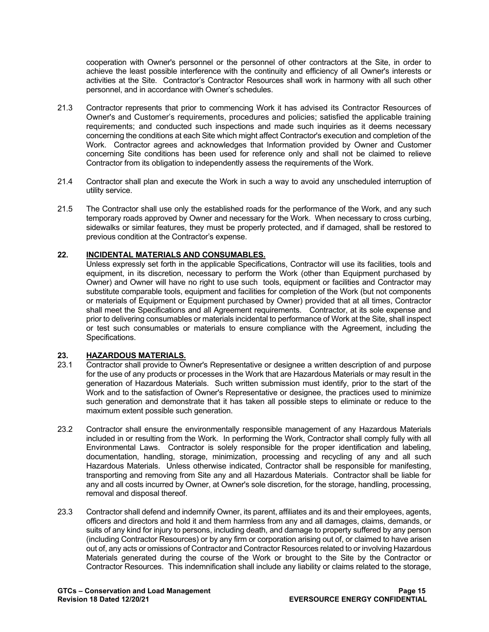cooperation with Owner's personnel or the personnel of other contractors at the Site, in order to achieve the least possible interference with the continuity and efficiency of all Owner's interests or activities at the Site. Contractor's Contractor Resources shall work in harmony with all such other personnel, and in accordance with Owner's schedules.

- 21.3 Contractor represents that prior to commencing Work it has advised its Contractor Resources of Owner's and Customer's requirements, procedures and policies; satisfied the applicable training requirements; and conducted such inspections and made such inquiries as it deems necessary concerning the conditions at each Site which might affect Contractor's execution and completion of the Work. Contractor agrees and acknowledges that Information provided by Owner and Customer concerning Site conditions has been used for reference only and shall not be claimed to relieve Contractor from its obligation to independently assess the requirements of the Work.
- 21.4 Contractor shall plan and execute the Work in such a way to avoid any unscheduled interruption of utility service.
- 21.5 The Contractor shall use only the established roads for the performance of the Work, and any such temporary roads approved by Owner and necessary for the Work. When necessary to cross curbing, sidewalks or similar features, they must be properly protected, and if damaged, shall be restored to previous condition at the Contractor's expense.

## <span id="page-14-0"></span>**22. INCIDENTAL MATERIALS AND CONSUMABLES.**

Unless expressly set forth in the applicable Specifications, Contractor will use its facilities, tools and equipment, in its discretion, necessary to perform the Work (other than Equipment purchased by Owner) and Owner will have no right to use such tools, equipment or facilities and Contractor may substitute comparable tools, equipment and facilities for completion of the Work (but not components or materials of Equipment or Equipment purchased by Owner) provided that at all times, Contractor shall meet the Specifications and all Agreement requirements. Contractor, at its sole expense and prior to delivering consumables or materials incidental to performance of Work at the Site, shall inspect or test such consumables or materials to ensure compliance with the Agreement, including the Specifications.

## <span id="page-14-1"></span>23. **HAZARDOUS MATERIALS.**<br>23.1 Contractor shall provide to Oy

- 23.1 Contractor shall provide to Owner's Representative or designee a written description of and purpose for the use of any products or processes in the Work that are Hazardous Materials or may result in the generation of Hazardous Materials. Such written submission must identify, prior to the start of the Work and to the satisfaction of Owner's Representative or designee, the practices used to minimize such generation and demonstrate that it has taken all possible steps to eliminate or reduce to the maximum extent possible such generation.
- 23.2 Contractor shall ensure the environmentally responsible management of any Hazardous Materials included in or resulting from the Work. In performing the Work, Contractor shall comply fully with all Environmental Laws. Contractor is solely responsible for the proper identification and labeling, documentation, handling, storage, minimization, processing and recycling of any and all such Hazardous Materials. Unless otherwise indicated, Contractor shall be responsible for manifesting, transporting and removing from Site any and all Hazardous Materials. Contractor shall be liable for any and all costs incurred by Owner, at Owner's sole discretion, for the storage, handling, processing, removal and disposal thereof.
- 23.3 Contractor shall defend and indemnify Owner, its parent, affiliates and its and their employees, agents, officers and directors and hold it and them harmless from any and all damages, claims, demands, or suits of any kind for injury to persons, including death, and damage to property suffered by any person (including Contractor Resources) or by any firm or corporation arising out of, or claimed to have arisen out of, any acts or omissions of Contractor and Contractor Resources related to or involving Hazardous Materials generated during the course of the Work or brought to the Site by the Contractor or Contractor Resources. This indemnification shall include any liability or claims related to the storage,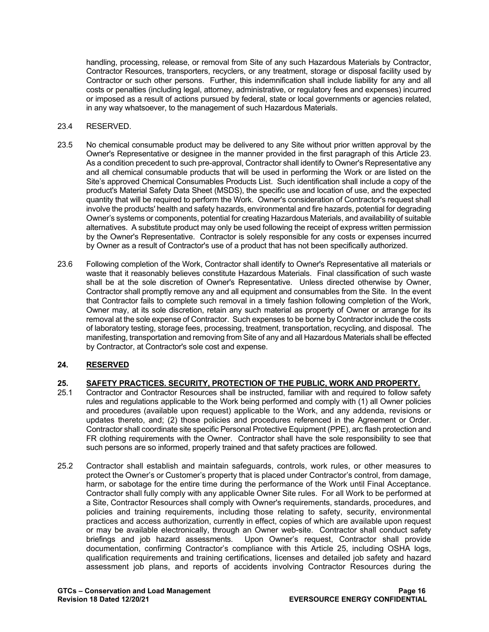handling, processing, release, or removal from Site of any such Hazardous Materials by Contractor, Contractor Resources, transporters, recyclers, or any treatment, storage or disposal facility used by Contractor or such other persons. Further, this indemnification shall include liability for any and all costs or penalties (including legal, attorney, administrative, or regulatory fees and expenses) incurred or imposed as a result of actions pursued by federal, state or local governments or agencies related, in any way whatsoever, to the management of such Hazardous Materials.

## 23.4 RESERVED.

- 23.5 No chemical consumable product may be delivered to any Site without prior written approval by the Owner's Representative or designee in the manner provided in the first paragraph of this Article 23. As a condition precedent to such pre-approval, Contractor shall identify to Owner's Representative any and all chemical consumable products that will be used in performing the Work or are listed on the Site's approved Chemical Consumables Products List. Such identification shall include a copy of the product's Material Safety Data Sheet (MSDS), the specific use and location of use, and the expected quantity that will be required to perform the Work. Owner's consideration of Contractor's request shall involve the products' health and safety hazards, environmental and fire hazards, potential for degrading Owner's systems or components, potential for creating Hazardous Materials, and availability of suitable alternatives. A substitute product may only be used following the receipt of express written permission by the Owner's Representative. Contractor is solely responsible for any costs or expenses incurred by Owner as a result of Contractor's use of a product that has not been specifically authorized.
- 23.6 Following completion of the Work, Contractor shall identify to Owner's Representative all materials or waste that it reasonably believes constitute Hazardous Materials. Final classification of such waste shall be at the sole discretion of Owner's Representative. Unless directed otherwise by Owner, Contractor shall promptly remove any and all equipment and consumables from the Site. In the event that Contractor fails to complete such removal in a timely fashion following completion of the Work, Owner may, at its sole discretion, retain any such material as property of Owner or arrange for its removal at the sole expense of Contractor. Such expenses to be borne by Contractor include the costs of laboratory testing, storage fees, processing, treatment, transportation, recycling, and disposal. The manifesting, transportation and removing from Site of any and all Hazardous Materials shall be effected by Contractor, at Contractor's sole cost and expense.

## <span id="page-15-0"></span>**24. RESERVED**

## <span id="page-15-1"></span>**25. SAFETY PRACTICES. SECURITY, PROTECTION OF THE PUBLIC, WORK AND PROPERTY.**

- 25.1 Contractor and Contractor Resources shall be instructed, familiar with and required to follow safety rules and regulations applicable to the Work being performed and comply with (1) all Owner policies and procedures (available upon request) applicable to the Work, and any addenda, revisions or updates thereto, and; (2) those policies and procedures referenced in the Agreement or Order. Contractor shall coordinate site specific Personal Protective Equipment (PPE), arc flash protection and FR clothing requirements with the Owner. Contractor shall have the sole responsibility to see that such persons are so informed, properly trained and that safety practices are followed.
- 25.2 Contractor shall establish and maintain safeguards, controls, work rules, or other measures to protect the Owner's or Customer's property that is placed under Contractor's control, from damage, harm, or sabotage for the entire time during the performance of the Work until Final Acceptance. Contractor shall fully comply with any applicable Owner Site rules.For all Work to be performed at a Site, Contractor Resources shall comply with Owner's requirements, standards, procedures, and policies and training requirements, including those relating to safety, security, environmental practices and access authorization, currently in effect, copies of which are available upon request or may be available electronically, through an Owner web-site. Contractor shall conduct safety briefings and job hazard assessments. Upon Owner's request, Contractor shall provide documentation, confirming Contractor's compliance with this Article 25, including OSHA logs, qualification requirements and training certifications, licenses and detailed job safety and hazard assessment job plans, and reports of accidents involving Contractor Resources during the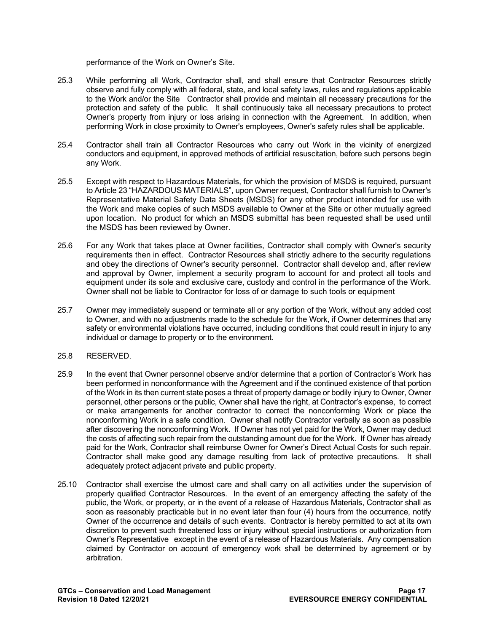performance of the Work on Owner's Site.

- 25.3 While performing all Work, Contractor shall, and shall ensure that Contractor Resources strictly observe and fully comply with all federal, state, and local safety laws, rules and regulations applicable to the Work and/or the Site Contractor shall provide and maintain all necessary precautions for the protection and safety of the public. It shall continuously take all necessary precautions to protect Owner's property from injury or loss arising in connection with the Agreement. In addition, when performing Work in close proximity to Owner's employees, Owner's safety rules shall be applicable.
- 25.4 Contractor shall train all Contractor Resources who carry out Work in the vicinity of energized conductors and equipment, in approved methods of artificial resuscitation, before such persons begin any Work.
- 25.5 Except with respect to Hazardous Materials, for which the provision of MSDS is required, pursuant to Article 23 "HAZARDOUS MATERIALS", upon Owner request, Contractor shall furnish to Owner's Representative Material Safety Data Sheets (MSDS) for any other product intended for use with the Work and make copies of such MSDS available to Owner at the Site or other mutually agreed upon location. No product for which an MSDS submittal has been requested shall be used until the MSDS has been reviewed by Owner.
- 25.6 For any Work that takes place at Owner facilities, Contractor shall comply with Owner's security requirements then in effect. Contractor Resources shall strictly adhere to the security regulations and obey the directions of Owner's security personnel. Contractor shall develop and, after review and approval by Owner, implement a security program to account for and protect all tools and equipment under its sole and exclusive care, custody and control in the performance of the Work. Owner shall not be liable to Contractor for loss of or damage to such tools or equipment
- 25.7 Owner may immediately suspend or terminate all or any portion of the Work, without any added cost to Owner, and with no adjustments made to the schedule for the Work, if Owner determines that any safety or environmental violations have occurred, including conditions that could result in injury to any individual or damage to property or to the environment.
- 25.8 RESERVED.
- 25.9 In the event that Owner personnel observe and/or determine that a portion of Contractor's Work has been performed in nonconformance with the Agreement and if the continued existence of that portion of the Work in its then current state poses a threat of property damage or bodily injury to Owner, Owner personnel, other persons or the public, Owner shall have the right, at Contractor's expense, to correct or make arrangements for another contractor to correct the nonconforming Work or place the nonconforming Work in a safe condition. Owner shall notify Contractor verbally as soon as possible after discovering the nonconforming Work. If Owner has not yet paid for the Work, Owner may deduct the costs of affecting such repair from the outstanding amount due for the Work. If Owner has already paid for the Work, Contractor shall reimburse Owner for Owner's Direct Actual Costs for such repair. Contractor shall make good any damage resulting from lack of protective precautions. It shall adequately protect adjacent private and public property.
- 25.10 Contractor shall exercise the utmost care and shall carry on all activities under the supervision of properly qualified Contractor Resources. In the event of an emergency affecting the safety of the public, the Work, or property, or in the event of a release of Hazardous Materials, Contractor shall as soon as reasonably practicable but in no event later than four (4) hours from the occurrence, notify Owner of the occurrence and details of such events. Contractor is hereby permitted to act at its own discretion to prevent such threatened loss or injury without special instructions or authorization from Owner's Representative except in the event of a release of Hazardous Materials. Any compensation claimed by Contractor on account of emergency work shall be determined by agreement or by arbitration.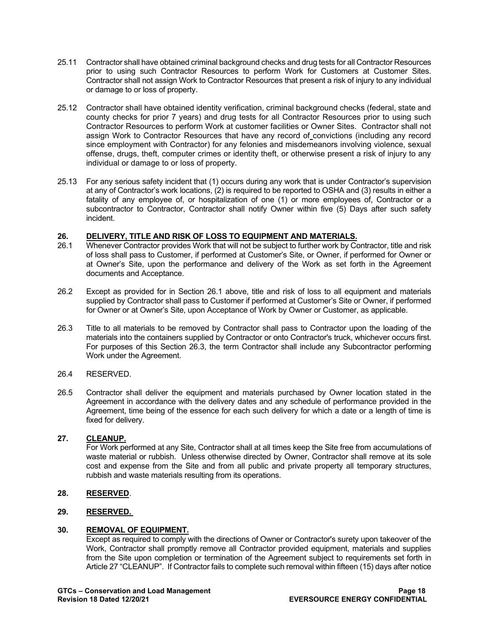- 25.11 Contractor shall have obtained criminal background checks and drug tests for all Contractor Resources prior to using such Contractor Resources to perform Work for Customers at Customer Sites. Contractor shall not assign Work to Contractor Resources that present a risk of injury to any individual or damage to or loss of property.
- 25.12 Contractor shall have obtained identity verification, criminal background checks (federal, state and county checks for prior 7 years) and drug tests for all Contractor Resources prior to using such Contractor Resources to perform Work at customer facilities or Owner Sites. Contractor shall not assign Work to Contractor Resources that have any record of convictions (including any record since employment with Contractor) for any felonies and misdemeanors involving violence, sexual offense, drugs, theft, computer crimes or identity theft, or otherwise present a risk of injury to any individual or damage to or loss of property.
- 25.13 For any serious safety incident that (1) occurs during any work that is under Contractor's supervision at any of Contractor's work locations, (2) is required to be reported to OSHA and (3) results in either a fatality of any employee of, or hospitalization of one (1) or more employees of, Contractor or a subcontractor to Contractor, Contractor shall notify Owner within five (5) Days after such safety incident.

## <span id="page-17-0"></span>**26. DELIVERY, TITLE AND RISK OF LOSS TO EQUIPMENT AND MATERIALS.**<br>26.1 Whenever Contractor provides Work that will not be subject to further work by Co

- Whenever Contractor provides Work that will not be subject to further work by Contractor, title and risk of loss shall pass to Customer, if performed at Customer's Site, or Owner, if performed for Owner or at Owner's Site, upon the performance and delivery of the Work as set forth in the Agreement documents and Acceptance.
- 26.2 Except as provided for in Section 26.1 above, title and risk of loss to all equipment and materials supplied by Contractor shall pass to Customer if performed at Customer's Site or Owner, if performed for Owner or at Owner's Site, upon Acceptance of Work by Owner or Customer, as applicable.
- 26.3 Title to all materials to be removed by Contractor shall pass to Contractor upon the loading of the materials into the containers supplied by Contractor or onto Contractor's truck, whichever occurs first. For purposes of this Section 26.3, the term Contractor shall include any Subcontractor performing Work under the Agreement.

#### 26.4 RESERVED.

26.5 Contractor shall deliver the equipment and materials purchased by Owner location stated in the Agreement in accordance with the delivery dates and any schedule of performance provided in the Agreement, time being of the essence for each such delivery for which a date or a length of time is fixed for delivery.

## <span id="page-17-1"></span>**27. CLEANUP.**

For Work performed at any Site, Contractor shall at all times keep the Site free from accumulations of waste material or rubbish. Unless otherwise directed by Owner, Contractor shall remove at its sole cost and expense from the Site and from all public and private property all temporary structures, rubbish and waste materials resulting from its operations.

## <span id="page-17-2"></span>**28. RESERVED**.

## <span id="page-17-3"></span>**29. RESERVED.**

#### <span id="page-17-4"></span>**30. REMOVAL OF EQUIPMENT.**

Except as required to comply with the directions of Owner or Contractor's surety upon takeover of the Work, Contractor shall promptly remove all Contractor provided equipment, materials and supplies from the Site upon completion or termination of the Agreement subject to requirements set forth in Article 27 "CLEANUP". If Contractor fails to complete such removal within fifteen (15) days after notice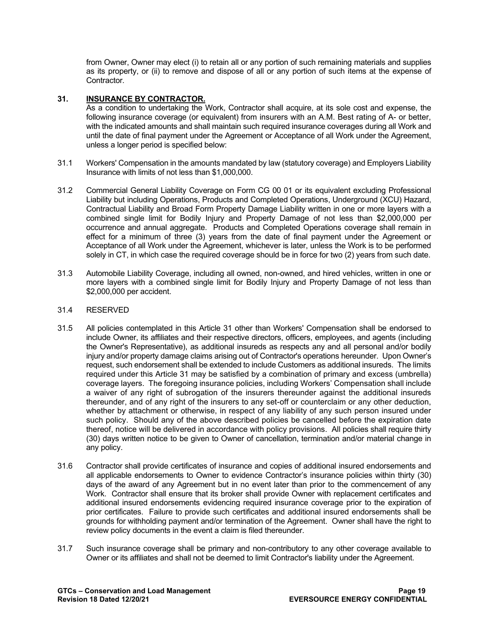from Owner, Owner may elect (i) to retain all or any portion of such remaining materials and supplies as its property, or (ii) to remove and dispose of all or any portion of such items at the expense of Contractor.

### <span id="page-18-0"></span>**31. INSURANCE BY CONTRACTOR.**

As a condition to undertaking the Work, Contractor shall acquire, at its sole cost and expense, the following insurance coverage (or equivalent) from insurers with an A.M. Best rating of A- or better, with the indicated amounts and shall maintain such required insurance coverages during all Work and until the date of final payment under the Agreement or Acceptance of all Work under the Agreement, unless a longer period is specified below:

- 31.1 Workers' Compensation in the amounts mandated by law (statutory coverage) and Employers Liability Insurance with limits of not less than \$1,000,000.
- 31.2 Commercial General Liability Coverage on Form CG 00 01 or its equivalent excluding Professional Liability but including Operations, Products and Completed Operations, Underground (XCU) Hazard, Contractual Liability and Broad Form Property Damage Liability written in one or more layers with a combined single limit for Bodily Injury and Property Damage of not less than \$2,000,000 per occurrence and annual aggregate. Products and Completed Operations coverage shall remain in effect for a minimum of three (3) years from the date of final payment under the Agreement or Acceptance of all Work under the Agreement, whichever is later, unless the Work is to be performed solely in CT, in which case the required coverage should be in force for two (2) years from such date.
- 31.3 Automobile Liability Coverage, including all owned, non-owned, and hired vehicles, written in one or more layers with a combined single limit for Bodily Injury and Property Damage of not less than \$2,000,000 per accident.

#### 31.4 RESERVED

- 31.5 All policies contemplated in this Article 31 other than Workers' Compensation shall be endorsed to include Owner, its affiliates and their respective directors, officers, employees, and agents (including the Owner's Representative), as additional insureds as respects any and all personal and/or bodily injury and/or property damage claims arising out of Contractor's operations hereunder. Upon Owner's request, such endorsement shall be extended to include Customers as additional insureds. The limits required under this Article 31 may be satisfied by a combination of primary and excess (umbrella) coverage layers. The foregoing insurance policies, including Workers' Compensation shall include a waiver of any right of subrogation of the insurers thereunder against the additional insureds thereunder, and of any right of the insurers to any set-off or counterclaim or any other deduction, whether by attachment or otherwise, in respect of any liability of any such person insured under such policy. Should any of the above described policies be cancelled before the expiration date thereof, notice will be delivered in accordance with policy provisions. All policies shall require thirty (30) days written notice to be given to Owner of cancellation, termination and/or material change in any policy.
- 31.6 Contractor shall provide certificates of insurance and copies of additional insured endorsements and all applicable endorsements to Owner to evidence Contractor's insurance policies within thirty (30) days of the award of any Agreement but in no event later than prior to the commencement of any Work. Contractor shall ensure that its broker shall provide Owner with replacement certificates and additional insured endorsements evidencing required insurance coverage prior to the expiration of prior certificates. Failure to provide such certificates and additional insured endorsements shall be grounds for withholding payment and/or termination of the Agreement. Owner shall have the right to review policy documents in the event a claim is filed thereunder.
- 31.7 Such insurance coverage shall be primary and non-contributory to any other coverage available to Owner or its affiliates and shall not be deemed to limit Contractor's liability under the Agreement.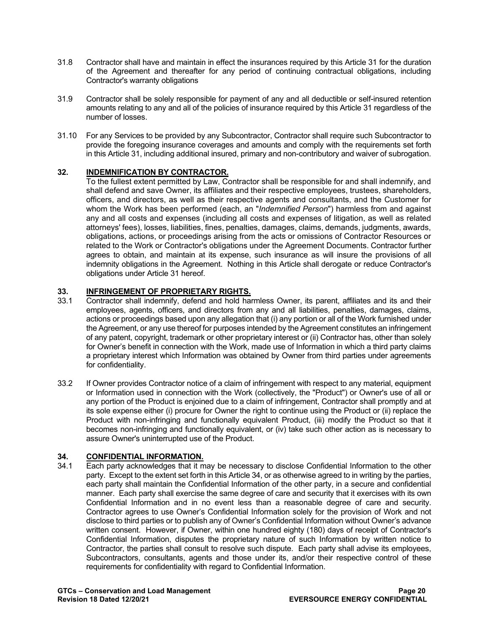- 31.8 Contractor shall have and maintain in effect the insurances required by this Article 31 for the duration of the Agreement and thereafter for any period of continuing contractual obligations, including Contractor's warranty obligations
- 31.9 Contractor shall be solely responsible for payment of any and all deductible or self-insured retention amounts relating to any and all of the policies of insurance required by this Article 31 regardless of the number of losses.
- 31.10 For any Services to be provided by any Subcontractor, Contractor shall require such Subcontractor to provide the foregoing insurance coverages and amounts and comply with the requirements set forth in this Article 31, including additional insured, primary and non-contributory and waiver of subrogation.

## <span id="page-19-0"></span>**32. INDEMNIFICATION BY CONTRACTOR.**

To the fullest extent permitted by Law, Contractor shall be responsible for and shall indemnify, and shall defend and save Owner, its affiliates and their respective employees, trustees, shareholders, officers, and directors, as well as their respective agents and consultants, and the Customer for whom the Work has been performed (each, an "*Indemnified Person*") harmless from and against any and all costs and expenses (including all costs and expenses of litigation, as well as related attorneys' fees), losses, liabilities, fines, penalties, damages, claims, demands, judgments, awards, obligations, actions, or proceedings arising from the acts or omissions of Contractor Resources or related to the Work or Contractor's obligations under the Agreement Documents. Contractor further agrees to obtain, and maintain at its expense, such insurance as will insure the provisions of all indemnity obligations in the Agreement. Nothing in this Article shall derogate or reduce Contractor's obligations under Article 31 hereof.

## <span id="page-19-1"></span>**33. INFRINGEMENT OF PROPRIETARY RIGHTS.**<br>33.1 Contractor shall indemnify, defend and hold hare

- Contractor shall indemnify, defend and hold harmless Owner, its parent, affiliates and its and their employees, agents, officers, and directors from any and all liabilities, penalties, damages, claims, actions or proceedings based upon any allegation that (i) any portion or all of the Work furnished under the Agreement, or any use thereof for purposes intended by the Agreement constitutes an infringement of any patent, copyright, trademark or other proprietary interest or (ii) Contractor has, other than solely for Owner's benefit in connection with the Work, made use of Information in which a third party claims a proprietary interest which Information was obtained by Owner from third parties under agreements for confidentiality.
- 33.2 If Owner provides Contractor notice of a claim of infringement with respect to any material, equipment or Information used in connection with the Work (collectively, the "Product") or Owner's use of all or any portion of the Product is enjoined due to a claim of infringement, Contractor shall promptly and at its sole expense either (i) procure for Owner the right to continue using the Product or (ii) replace the Product with non-infringing and functionally equivalent Product, (iii) modify the Product so that it becomes non-infringing and functionally equivalent, or (iv) take such other action as is necessary to assure Owner's uninterrupted use of the Product.

## <span id="page-19-2"></span>**34. CONFIDENTIAL INFORMATION.**

Each party acknowledges that it may be necessary to disclose Confidential Information to the other party. Except to the extent set forth in this Article 34, or as otherwise agreed to in writing by the parties, each party shall maintain the Confidential Information of the other party, in a secure and confidential manner. Each party shall exercise the same degree of care and security that it exercises with its own Confidential Information and in no event less than a reasonable degree of care and security. Contractor agrees to use Owner's Confidential Information solely for the provision of Work and not disclose to third parties or to publish any of Owner's Confidential Information without Owner's advance written consent. However, if Owner, within one hundred eighty (180) days of receipt of Contractor's Confidential Information, disputes the proprietary nature of such Information by written notice to Contractor, the parties shall consult to resolve such dispute. Each party shall advise its employees, Subcontractors, consultants, agents and those under its, and/or their respective control of these requirements for confidentiality with regard to Confidential Information.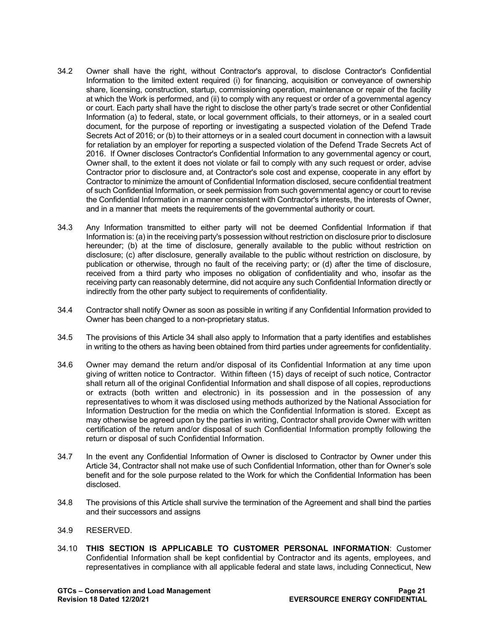- 34.2 Owner shall have the right, without Contractor's approval, to disclose Contractor's Confidential Information to the limited extent required (i) for financing, acquisition or conveyance of ownership share, licensing, construction, startup, commissioning operation, maintenance or repair of the facility at which the Work is performed, and (ii) to comply with any request or order of a governmental agency or court. Each party shall have the right to disclose the other party's trade secret or other Confidential Information (a) to federal, state, or local government officials, to their attorneys, or in a sealed court document, for the purpose of reporting or investigating a suspected violation of the Defend Trade Secrets Act of 2016; or (b) to their attorneys or in a sealed court document in connection with a lawsuit for retaliation by an employer for reporting a suspected violation of the Defend Trade Secrets Act of 2016. If Owner discloses Contractor's Confidential Information to any governmental agency or court, Owner shall, to the extent it does not violate or fail to comply with any such request or order, advise Contractor prior to disclosure and, at Contractor's sole cost and expense, cooperate in any effort by Contractor to minimize the amount of Confidential Information disclosed, secure confidential treatment of such Confidential Information, or seek permission from such governmental agency or court to revise the Confidential Information in a manner consistent with Contractor's interests, the interests of Owner, and in a manner that meets the requirements of the governmental authority or court.
- 34.3 Any Information transmitted to either party will not be deemed Confidential Information if that Information is: (a) in the receiving party's possession without restriction on disclosure prior to disclosure hereunder; (b) at the time of disclosure, generally available to the public without restriction on disclosure; (c) after disclosure, generally available to the public without restriction on disclosure, by publication or otherwise, through no fault of the receiving party; or (d) after the time of disclosure, received from a third party who imposes no obligation of confidentiality and who, insofar as the receiving party can reasonably determine, did not acquire any such Confidential Information directly or indirectly from the other party subject to requirements of confidentiality.
- 34.4 Contractor shall notify Owner as soon as possible in writing if any Confidential Information provided to Owner has been changed to a non-proprietary status.
- 34.5 The provisions of this Article 34 shall also apply to Information that a party identifies and establishes in writing to the others as having been obtained from third parties under agreements for confidentiality.
- 34.6 Owner may demand the return and/or disposal of its Confidential Information at any time upon giving of written notice to Contractor. Within fifteen (15) days of receipt of such notice, Contractor shall return all of the original Confidential Information and shall dispose of all copies, reproductions or extracts (both written and electronic) in its possession and in the possession of any representatives to whom it was disclosed using methods authorized by the National Association for Information Destruction for the media on which the Confidential Information is stored. Except as may otherwise be agreed upon by the parties in writing, Contractor shall provide Owner with written certification of the return and/or disposal of such Confidential Information promptly following the return or disposal of such Confidential Information.
- 34.7 In the event any Confidential Information of Owner is disclosed to Contractor by Owner under this Article 34, Contractor shall not make use of such Confidential Information, other than for Owner's sole benefit and for the sole purpose related to the Work for which the Confidential Information has been disclosed.
- 34.8 The provisions of this Article shall survive the termination of the Agreement and shall bind the parties and their successors and assigns
- 34.9 RESERVED.
- 34.10 **THIS SECTION IS APPLICABLE TO CUSTOMER PERSONAL INFORMATION**: Customer Confidential Information shall be kept confidential by Contractor and its agents, employees, and representatives in compliance with all applicable federal and state laws, including Connecticut, New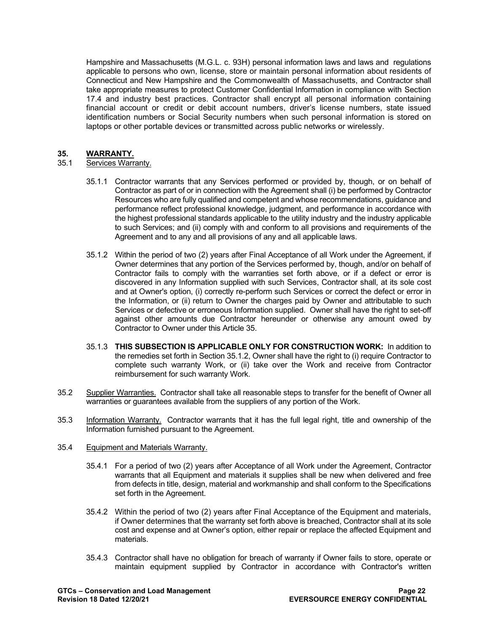Hampshire and Massachusetts (M.G.L. c. 93H) personal information laws and laws and regulations applicable to persons who own, license, store or maintain personal information about residents of Connecticut and New Hampshire and the Commonwealth of Massachusetts, and Contractor shall take appropriate measures to protect Customer Confidential Information in compliance with Section 17.4 and industry best practices. Contractor shall encrypt all personal information containing financial account or credit or debit account numbers, driver's license numbers, state issued identification numbers or Social Security numbers when such personal information is stored on laptops or other portable devices or transmitted across public networks or wirelessly.

## <span id="page-21-0"></span>**35. WARRANTY.**

#### Services Warranty.

- 35.1.1 Contractor warrants that any Services performed or provided by, though, or on behalf of Contractor as part of or in connection with the Agreement shall (i) be performed by Contractor Resources who are fully qualified and competent and whose recommendations, guidance and performance reflect professional knowledge, judgment, and performance in accordance with the highest professional standards applicable to the utility industry and the industry applicable to such Services; and (ii) comply with and conform to all provisions and requirements of the Agreement and to any and all provisions of any and all applicable laws.
- 35.1.2 Within the period of two (2) years after Final Acceptance of all Work under the Agreement, if Owner determines that any portion of the Services performed by, though, and/or on behalf of Contractor fails to comply with the warranties set forth above, or if a defect or error is discovered in any Information supplied with such Services, Contractor shall, at its sole cost and at Owner's option, (i) correctly re-perform such Services or correct the defect or error in the Information, or (ii) return to Owner the charges paid by Owner and attributable to such Services or defective or erroneous Information supplied. Owner shall have the right to set-off against other amounts due Contractor hereunder or otherwise any amount owed by Contractor to Owner under this Article 35.
- 35.1.3 **THIS SUBSECTION IS APPLICABLE ONLY FOR CONSTRUCTION WORK:** In addition to the remedies set forth in Section 35.1.2, Owner shall have the right to (i) require Contractor to complete such warranty Work, or (ii) take over the Work and receive from Contractor reimbursement for such warranty Work.
- 35.2 Supplier Warranties. Contractor shall take all reasonable steps to transfer for the benefit of Owner all warranties or guarantees available from the suppliers of any portion of the Work.
- 35.3 Information Warranty. Contractor warrants that it has the full legal right, title and ownership of the Information furnished pursuant to the Agreement.
- 35.4 Equipment and Materials Warranty.
	- 35.4.1 For a period of two (2) years after Acceptance of all Work under the Agreement, Contractor warrants that all Equipment and materials it supplies shall be new when delivered and free from defects in title, design, material and workmanship and shall conform to the Specifications set forth in the Agreement.
	- 35.4.2 Within the period of two (2) years after Final Acceptance of the Equipment and materials, if Owner determines that the warranty set forth above is breached, Contractor shall at its sole cost and expense and at Owner's option, either repair or replace the affected Equipment and materials.
	- 35.4.3 Contractor shall have no obligation for breach of warranty if Owner fails to store, operate or maintain equipment supplied by Contractor in accordance with Contractor's written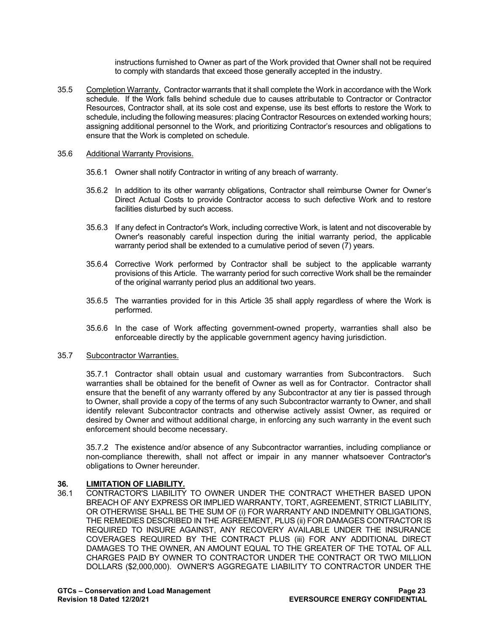instructions furnished to Owner as part of the Work provided that Owner shall not be required to comply with standards that exceed those generally accepted in the industry.

35.5 Completion Warranty. Contractor warrants that it shall complete the Work in accordance with the Work schedule. If the Work falls behind schedule due to causes attributable to Contractor or Contractor Resources, Contractor shall, at its sole cost and expense, use its best efforts to restore the Work to schedule, including the following measures: placing Contractor Resources on extended working hours; assigning additional personnel to the Work, and prioritizing Contractor's resources and obligations to ensure that the Work is completed on schedule.

#### 35.6 Additional Warranty Provisions.

- 35.6.1 Owner shall notify Contractor in writing of any breach of warranty.
- 35.6.2 In addition to its other warranty obligations, Contractor shall reimburse Owner for Owner's Direct Actual Costs to provide Contractor access to such defective Work and to restore facilities disturbed by such access.
- 35.6.3 If any defect in Contractor's Work, including corrective Work, is latent and not discoverable by Owner's reasonably careful inspection during the initial warranty period, the applicable warranty period shall be extended to a cumulative period of seven (7) years.
- 35.6.4 Corrective Work performed by Contractor shall be subject to the applicable warranty provisions of this Article. The warranty period for such corrective Work shall be the remainder of the original warranty period plus an additional two years.
- 35.6.5 The warranties provided for in this Article 35 shall apply regardless of where the Work is performed.
- 35.6.6 In the case of Work affecting government-owned property, warranties shall also be enforceable directly by the applicable government agency having jurisdiction.

#### 35.7 Subcontractor Warranties.

35.7.1 Contractor shall obtain usual and customary warranties from Subcontractors. Such warranties shall be obtained for the benefit of Owner as well as for Contractor. Contractor shall ensure that the benefit of any warranty offered by any Subcontractor at any tier is passed through to Owner, shall provide a copy of the terms of any such Subcontractor warranty to Owner, and shall identify relevant Subcontractor contracts and otherwise actively assist Owner, as required or desired by Owner and without additional charge, in enforcing any such warranty in the event such enforcement should become necessary.

35.7.2 The existence and/or absence of any Subcontractor warranties, including compliance or non-compliance therewith, shall not affect or impair in any manner whatsoever Contractor's obligations to Owner hereunder.

## <span id="page-22-0"></span>**36. LIMITATION OF LIABILITY.**<br>36.1 CONTRACTOR'S LIABILITY

36.1 CONTRACTOR'S LIABILITY TO OWNER UNDER THE CONTRACT WHETHER BASED UPON BREACH OF ANY EXPRESS OR IMPLIED WARRANTY, TORT, AGREEMENT, STRICT LIABILITY, OR OTHERWISE SHALL BE THE SUM OF (i) FOR WARRANTY AND INDEMNITY OBLIGATIONS, THE REMEDIES DESCRIBED IN THE AGREEMENT, PLUS (ii) FOR DAMAGES CONTRACTOR IS REQUIRED TO INSURE AGAINST, ANY RECOVERY AVAILABLE UNDER THE INSURANCE COVERAGES REQUIRED BY THE CONTRACT PLUS (iii) FOR ANY ADDITIONAL DIRECT DAMAGES TO THE OWNER, AN AMOUNT EQUAL TO THE GREATER OF THE TOTAL OF ALL CHARGES PAID BY OWNER TO CONTRACTOR UNDER THE CONTRACT OR TWO MILLION DOLLARS (\$2,000,000). OWNER'S AGGREGATE LIABILITY TO CONTRACTOR UNDER THE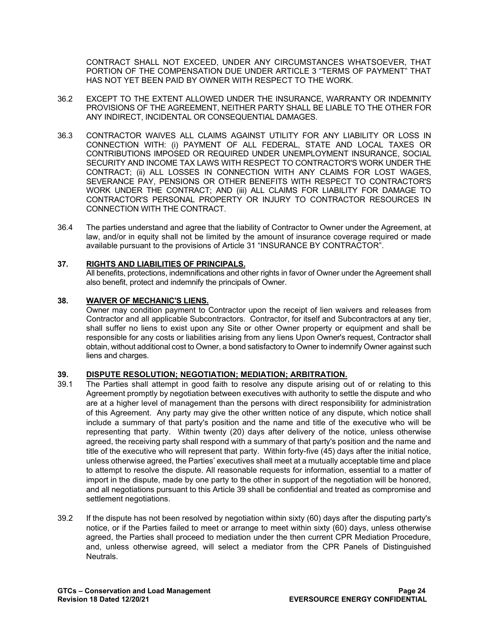CONTRACT SHALL NOT EXCEED, UNDER ANY CIRCUMSTANCES WHATSOEVER, THAT PORTION OF THE COMPENSATION DUE UNDER ARTICLE 3 "TERMS OF PAYMENT" THAT HAS NOT YET BEEN PAID BY OWNER WITH RESPECT TO THE WORK.

- 36.2 EXCEPT TO THE EXTENT ALLOWED UNDER THE INSURANCE, WARRANTY OR INDEMNITY PROVISIONS OF THE AGREEMENT, NEITHER PARTY SHALL BE LIABLE TO THE OTHER FOR ANY INDIRECT, INCIDENTAL OR CONSEQUENTIAL DAMAGES.
- 36.3 CONTRACTOR WAIVES ALL CLAIMS AGAINST UTILITY FOR ANY LIABILITY OR LOSS IN CONNECTION WITH: (i) PAYMENT OF ALL FEDERAL, STATE AND LOCAL TAXES OR CONTRIBUTIONS IMPOSED OR REQUIRED UNDER UNEMPLOYMENT INSURANCE, SOCIAL SECURITY AND INCOME TAX LAWS WITH RESPECT TO CONTRACTOR'S WORK UNDER THE CONTRACT; (ii) ALL LOSSES IN CONNECTION WITH ANY CLAIMS FOR LOST WAGES, SEVERANCE PAY, PENSIONS OR OTHER BENEFITS WITH RESPECT TO CONTRACTOR'S WORK UNDER THE CONTRACT; AND (iii) ALL CLAIMS FOR LIABILITY FOR DAMAGE TO CONTRACTOR'S PERSONAL PROPERTY OR INJURY TO CONTRACTOR RESOURCES IN CONNECTION WITH THE CONTRACT.
- 36.4 The parties understand and agree that the liability of Contractor to Owner under the Agreement, at law, and/or in equity shall not be limited by the amount of insurance coverage required or made available pursuant to the provisions of Article 31 "INSURANCE BY CONTRACTOR".

## <span id="page-23-0"></span>**37. RIGHTS AND LIABILITIES OF PRINCIPALS.**

All benefits, protections, indemnifications and other rights in favor of Owner under the Agreement shall also benefit, protect and indemnify the principals of Owner.

#### <span id="page-23-1"></span>**38. WAIVER OF MECHANIC'S LIENS.**

Owner may condition payment to Contractor upon the receipt of lien waivers and releases from Contractor and all applicable Subcontractors. Contractor, for itself and Subcontractors at any tier, shall suffer no liens to exist upon any Site or other Owner property or equipment and shall be responsible for any costs or liabilities arising from any liens Upon Owner's request, Contractor shall obtain, without additional cost to Owner, a bond satisfactory to Owner to indemnify Owner against such liens and charges.

#### <span id="page-23-2"></span>**39. DISPUTE RESOLUTION; NEGOTIATION; MEDIATION; ARBITRATION.**

- 39.1 The Parties shall attempt in good faith to resolve any dispute arising out of or relating to this Agreement promptly by negotiation between executives with authority to settle the dispute and who are at a higher level of management than the persons with direct responsibility for administration of this Agreement. Any party may give the other written notice of any dispute, which notice shall include a summary of that party's position and the name and title of the executive who will be representing that party. Within twenty (20) days after delivery of the notice, unless otherwise agreed, the receiving party shall respond with a summary of that party's position and the name and title of the executive who will represent that party. Within forty-five (45) days after the initial notice, unless otherwise agreed, the Parties' executives shall meet at a mutually acceptable time and place to attempt to resolve the dispute. All reasonable requests for information, essential to a matter of import in the dispute, made by one party to the other in support of the negotiation will be honored, and all negotiations pursuant to this Article 39 shall be confidential and treated as compromise and settlement negotiations.
- 39.2 If the dispute has not been resolved by negotiation within sixty (60) days after the disputing party's notice, or if the Parties failed to meet or arrange to meet within sixty (60) days, unless otherwise agreed, the Parties shall proceed to mediation under the then current CPR Mediation Procedure, and, unless otherwise agreed, will select a mediator from the CPR Panels of Distinguished **Neutrals**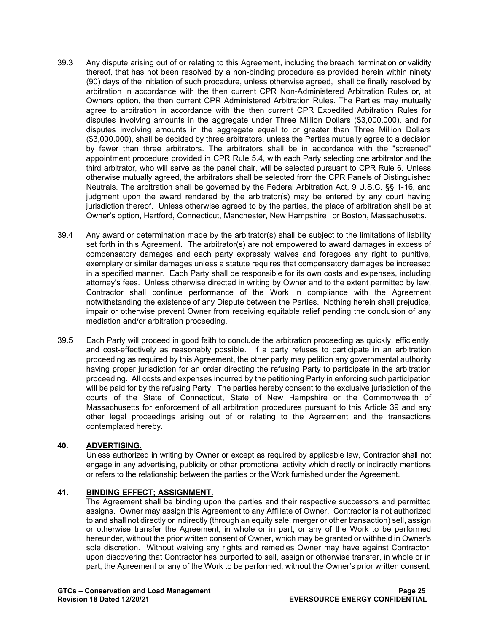- 39.3 Any dispute arising out of or relating to this Agreement, including the breach, termination or validity thereof, that has not been resolved by a non-binding procedure as provided herein within ninety (90) days of the initiation of such procedure, unless otherwise agreed, shall be finally resolved by arbitration in accordance with the then current CPR Non-Administered Arbitration Rules or, at Owners option, the then current CPR Administered Arbitration Rules. The Parties may mutually agree to arbitration in accordance with the then current CPR Expedited Arbitration Rules for disputes involving amounts in the aggregate under Three Million Dollars (\$3,000,000), and for disputes involving amounts in the aggregate equal to or greater than Three Million Dollars (\$3,000,000), shall be decided by three arbitrators, unless the Parties mutually agree to a decision by fewer than three arbitrators. The arbitrators shall be in accordance with the "screened" appointment procedure provided in CPR Rule 5.4, with each Party selecting one arbitrator and the third arbitrator, who will serve as the panel chair, will be selected pursuant to CPR Rule 6. Unless otherwise mutually agreed, the arbitrators shall be selected from the CPR Panels of Distinguished Neutrals. The arbitration shall be governed by the Federal Arbitration Act, 9 U.S.C. §§ 1-16, and judgment upon the award rendered by the arbitrator(s) may be entered by any court having jurisdiction thereof. Unless otherwise agreed to by the parties, the place of arbitration shall be at Owner's option, Hartford, Connecticut, Manchester, New Hampshire or Boston, Massachusetts.
- 39.4 Any award or determination made by the arbitrator(s) shall be subject to the limitations of liability set forth in this Agreement. The arbitrator(s) are not empowered to award damages in excess of compensatory damages and each party expressly waives and foregoes any right to punitive, exemplary or similar damages unless a statute requires that compensatory damages be increased in a specified manner. Each Party shall be responsible for its own costs and expenses, including attorney's fees. Unless otherwise directed in writing by Owner and to the extent permitted by law, Contractor shall continue performance of the Work in compliance with the Agreement notwithstanding the existence of any Dispute between the Parties. Nothing herein shall prejudice, impair or otherwise prevent Owner from receiving equitable relief pending the conclusion of any mediation and/or arbitration proceeding.
- 39.5 Each Party will proceed in good faith to conclude the arbitration proceeding as quickly, efficiently, and cost-effectively as reasonably possible. If a party refuses to participate in an arbitration proceeding as required by this Agreement, the other party may petition any governmental authority having proper jurisdiction for an order directing the refusing Party to participate in the arbitration proceeding. All costs and expenses incurred by the petitioning Party in enforcing such participation will be paid for by the refusing Party. The parties hereby consent to the exclusive jurisdiction of the courts of the State of Connecticut, State of New Hampshire or the Commonwealth of Massachusetts for enforcement of all arbitration procedures pursuant to this Article 39 and any other legal proceedings arising out of or relating to the Agreement and the transactions contemplated hereby.

## <span id="page-24-0"></span>**40. ADVERTISING.**

Unless authorized in writing by Owner or except as required by applicable law, Contractor shall not engage in any advertising, publicity or other promotional activity which directly or indirectly mentions or refers to the relationship between the parties or the Work furnished under the Agreement.

#### <span id="page-24-1"></span>**41. BINDING EFFECT; ASSIGNMENT.**

The Agreement shall be binding upon the parties and their respective successors and permitted assigns. Owner may assign this Agreement to any Affiliate of Owner. Contractor is not authorized to and shall not directly or indirectly (through an equity sale, merger or other transaction) sell, assign or otherwise transfer the Agreement, in whole or in part, or any of the Work to be performed hereunder, without the prior written consent of Owner, which may be granted or withheld in Owner's sole discretion. Without waiving any rights and remedies Owner may have against Contractor, upon discovering that Contractor has purported to sell, assign or otherwise transfer, in whole or in part, the Agreement or any of the Work to be performed, without the Owner's prior written consent,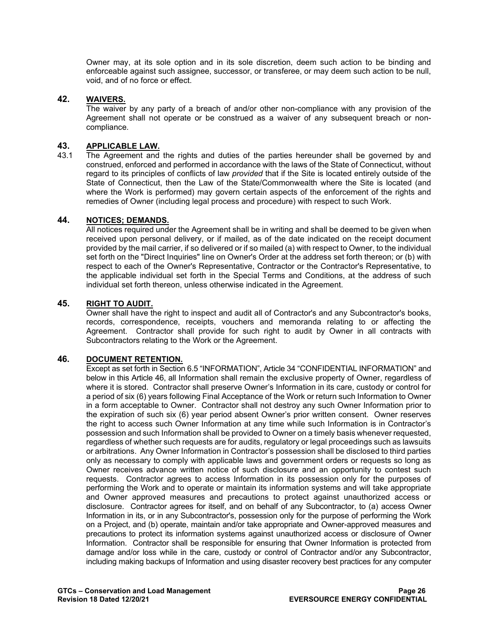Owner may, at its sole option and in its sole discretion, deem such action to be binding and enforceable against such assignee, successor, or transferee, or may deem such action to be null, void, and of no force or effect.

## <span id="page-25-0"></span>**42. WAIVERS.**

The waiver by any party of a breach of and/or other non-compliance with any provision of the Agreement shall not operate or be construed as a waiver of any subsequent breach or noncompliance.

## <span id="page-25-1"></span>**43. APPLICABLE LAW.**

The Agreement and the rights and duties of the parties hereunder shall be governed by and construed, enforced and performed in accordance with the laws of the State of Connecticut, without regard to its principles of conflicts of law *provided* that if the Site is located entirely outside of the State of Connecticut, then the Law of the State/Commonwealth where the Site is located (and where the Work is performed) may govern certain aspects of the enforcement of the rights and remedies of Owner (including legal process and procedure) with respect to such Work.

### <span id="page-25-2"></span>**44. NOTICES; DEMANDS.**

All notices required under the Agreement shall be in writing and shall be deemed to be given when received upon personal delivery, or if mailed, as of the date indicated on the receipt document provided by the mail carrier, if so delivered or if so mailed (a) with respect to Owner, to the individual set forth on the "Direct Inquiries" line on Owner's Order at the address set forth thereon; or (b) with respect to each of the Owner's Representative, Contractor or the Contractor's Representative, to the applicable individual set forth in the Special Terms and Conditions, at the address of such individual set forth thereon, unless otherwise indicated in the Agreement.

#### <span id="page-25-3"></span>**45. RIGHT TO AUDIT.**

Owner shall have the right to inspect and audit all of Contractor's and any Subcontractor's books, records, correspondence, receipts, vouchers and memoranda relating to or affecting the Agreement. Contractor shall provide for such right to audit by Owner in all contracts with Subcontractors relating to the Work or the Agreement.

#### <span id="page-25-4"></span>**46. DOCUMENT RETENTION.**

Except as set forth in Section 6.5 "INFORMATION", Article 34 "CONFIDENTIAL INFORMATION" and below in this Article 46, all Information shall remain the exclusive property of Owner, regardless of where it is stored. Contractor shall preserve Owner's Information in its care, custody or control for a period of six (6) years following Final Acceptance of the Work or return such Information to Owner in a form acceptable to Owner. Contractor shall not destroy any such Owner Information prior to the expiration of such six (6) year period absent Owner's prior written consent. Owner reserves the right to access such Owner Information at any time while such Information is in Contractor's possession and such Information shall be provided to Owner on a timely basis whenever requested, regardless of whether such requests are for audits, regulatory or legal proceedings such as lawsuits or arbitrations. Any Owner Information in Contractor's possession shall be disclosed to third parties only as necessary to comply with applicable laws and government orders or requests so long as Owner receives advance written notice of such disclosure and an opportunity to contest such requests. Contractor agrees to access Information in its possession only for the purposes of performing the Work and to operate or maintain its information systems and will take appropriate and Owner approved measures and precautions to protect against unauthorized access or disclosure. Contractor agrees for itself, and on behalf of any Subcontractor, to (a) access Owner Information in its, or in any Subcontractor's, possession only for the purpose of performing the Work on a Project, and (b) operate, maintain and/or take appropriate and Owner-approved measures and precautions to protect its information systems against unauthorized access or disclosure of Owner Information. Contractor shall be responsible for ensuring that Owner Information is protected from damage and/or loss while in the care, custody or control of Contractor and/or any Subcontractor, including making backups of Information and using disaster recovery best practices for any computer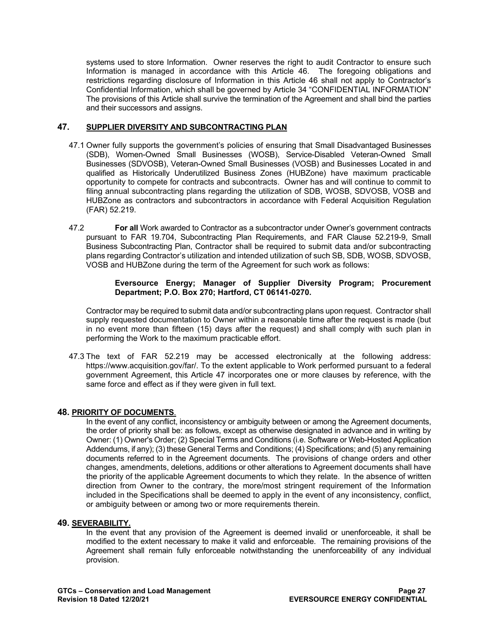systems used to store Information. Owner reserves the right to audit Contractor to ensure such Information is managed in accordance with this Article 46. The foregoing obligations and restrictions regarding disclosure of Information in this Article 46 shall not apply to Contractor's Confidential Information, which shall be governed by Article 34 "CONFIDENTIAL INFORMATION" The provisions of this Article shall survive the termination of the Agreement and shall bind the parties and their successors and assigns.

## <span id="page-26-0"></span>**47. SUPPLIER DIVERSITY AND SUBCONTRACTING PLAN**

- 47.1 Owner fully supports the government's policies of ensuring that Small Disadvantaged Businesses (SDB), Women-Owned Small Businesses (WOSB), Service-Disabled Veteran-Owned Small Businesses (SDVOSB), Veteran-Owned Small Businesses (VOSB) and Businesses Located in and qualified as Historically Underutilized Business Zones (HUBZone) have maximum practicable opportunity to compete for contracts and subcontracts. Owner has and will continue to commit to filing annual subcontracting plans regarding the utilization of SDB, WOSB, SDVOSB, VOSB and HUBZone as contractors and subcontractors in accordance with Federal Acquisition Regulation (FAR) 52.219.
- 47.2 **For all** Work awarded to Contractor as a subcontractor under Owner's government contracts pursuant to FAR 19.704, Subcontracting Plan Requirements, and FAR Clause 52.219-9, Small Business Subcontracting Plan, Contractor shall be required to submit data and/or subcontracting plans regarding Contractor's utilization and intended utilization of such SB, SDB, WOSB, SDVOSB, VOSB and HUBZone during the term of the Agreement for such work as follows:

#### **Eversource Energy; Manager of Supplier Diversity Program; Procurement Department; P.O. Box 270; Hartford, CT 06141-0270.**

Contractor may be required to submit data and/or subcontracting plans upon request. Contractor shall supply requested documentation to Owner within a reasonable time after the request is made (but in no event more than fifteen (15) days after the request) and shall comply with such plan in performing the Work to the maximum practicable effort.

47.3 The text of FAR 52.219 may be accessed electronically at the following address: [https://www.acquisition.gov/far/.](https://www.acquisition.gov/far/) To the extent applicable to Work performed pursuant to a federal government Agreement, this Article 47 incorporates one or more clauses by reference, with the same force and effect as if they were given in full text.

## <span id="page-26-1"></span>**48. PRIORITY OF DOCUMENTS**.

In the event of any conflict, inconsistency or ambiguity between or among the Agreement documents, the order of priority shall be: as follows, except as otherwise designated in advance and in writing by Owner: (1) Owner's Order; (2) Special Terms and Conditions (i.e. Software or Web-Hosted Application Addendums, if any); (3) these General Terms and Conditions; (4) Specifications; and (5) any remaining documents referred to in the Agreement documents. The provisions of change orders and other changes, amendments, deletions, additions or other alterations to Agreement documents shall have the priority of the applicable Agreement documents to which they relate. In the absence of written direction from Owner to the contrary, the more/most stringent requirement of the Information included in the Specifications shall be deemed to apply in the event of any inconsistency, conflict, or ambiguity between or among two or more requirements therein.

## <span id="page-26-2"></span>**49. SEVERABILITY.**

In the event that any provision of the Agreement is deemed invalid or unenforceable, it shall be modified to the extent necessary to make it valid and enforceable. The remaining provisions of the Agreement shall remain fully enforceable notwithstanding the unenforceability of any individual provision.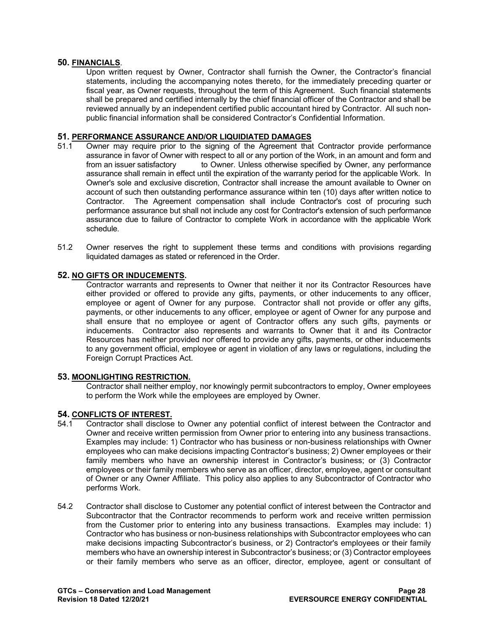#### <span id="page-27-0"></span>**50. FINANCIALS**.

Upon written request by Owner, Contractor shall furnish the Owner, the Contractor's financial statements, including the accompanying notes thereto, for the immediately preceding quarter or fiscal year, as Owner requests, throughout the term of this Agreement. Such financial statements shall be prepared and certified internally by the chief financial officer of the Contractor and shall be reviewed annually by an independent certified public accountant hired by Contractor. All such nonpublic financial information shall be considered Contractor's Confidential Information.

## <span id="page-27-1"></span>**51. PERFORMANCE ASSURANCE AND/OR LIQUIDIATED DAMAGES**

- Owner may require prior to the signing of the Agreement that Contractor provide performance assurance in favor of Owner with respect to all or any portion of the Work, in an amount and form and from an issuer satisfactory to Owner. Unless otherwise specified by Owner, any performance assurance shall remain in effect until the expiration of the warranty period for the applicable Work. In Owner's sole and exclusive discretion, Contractor shall increase the amount available to Owner on account of such then outstanding performance assurance within ten (10) days after written notice to Contractor. The Agreement compensation shall include Contractor's cost of procuring such performance assurance but shall not include any cost for Contractor's extension of such performance assurance due to failure of Contractor to complete Work in accordance with the applicable Work schedule.
- 51.2 Owner reserves the right to supplement these terms and conditions with provisions regarding liquidated damages as stated or referenced in the Order.

#### <span id="page-27-2"></span>**52. NO GIFTS OR INDUCEMENTS.**

Contractor warrants and represents to Owner that neither it nor its Contractor Resources have either provided or offered to provide any gifts, payments, or other inducements to any officer, employee or agent of Owner for any purpose. Contractor shall not provide or offer any gifts, payments, or other inducements to any officer, employee or agent of Owner for any purpose and shall ensure that no employee or agent of Contractor offers any such gifts, payments or inducements. Contractor also represents and warrants to Owner that it and its Contractor Resources has neither provided nor offered to provide any gifts, payments, or other inducements to any government official, employee or agent in violation of any laws or regulations, including the Foreign Corrupt Practices Act.

#### <span id="page-27-3"></span>**53. MOONLIGHTING RESTRICTION.**

Contractor shall neither employ, nor knowingly permit subcontractors to employ, Owner employees to perform the Work while the employees are employed by Owner.

## <span id="page-27-4"></span>**54. CONFLICTS OF INTEREST.**

- Contractor shall disclose to Owner any potential conflict of interest between the Contractor and Owner and receive written permission from Owner prior to entering into any business transactions. Examples may include: 1) Contractor who has business or non-business relationships with Owner employees who can make decisions impacting Contractor's business; 2) Owner employees or their family members who have an ownership interest in Contractor's business; or (3) Contractor employees or their family members who serve as an officer, director, employee, agent or consultant of Owner or any Owner Affiliate. This policy also applies to any Subcontractor of Contractor who performs Work.
- 54.2 Contractor shall disclose to Customer any potential conflict of interest between the Contractor and Subcontractor that the Contractor recommends to perform work and receive written permission from the Customer prior to entering into any business transactions. Examples may include: 1) Contractor who has business or non-business relationships with Subcontractor employees who can make decisions impacting Subcontractor's business, or 2) Contractor's employees or their family members who have an ownership interest in Subcontractor's business; or (3) Contractor employees or their family members who serve as an officer, director, employee, agent or consultant of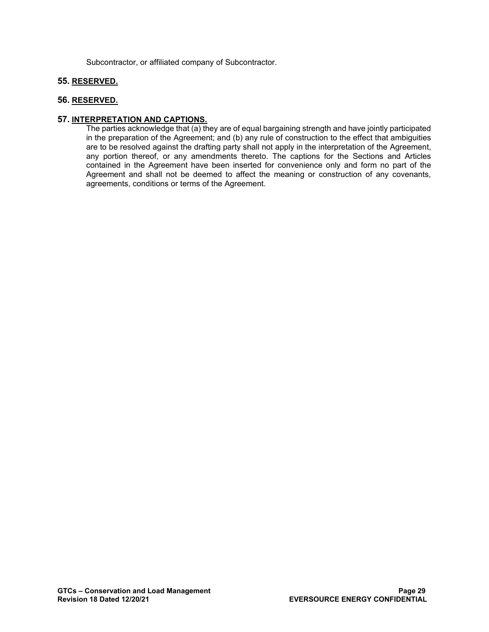Subcontractor, or affiliated company of Subcontractor.

## <span id="page-28-0"></span>**55. RESERVED.**

## <span id="page-28-1"></span>**56. RESERVED.**

## <span id="page-28-2"></span>**57. INTERPRETATION AND CAPTIONS.**

The parties acknowledge that (a) they are of equal bargaining strength and have jointly participated in the preparation of the Agreement; and (b) any rule of construction to the effect that ambiguities are to be resolved against the drafting party shall not apply in the interpretation of the Agreement, any portion thereof, or any amendments thereto. The captions for the Sections and Articles contained in the Agreement have been inserted for convenience only and form no part of the Agreement and shall not be deemed to affect the meaning or construction of any covenants, agreements, conditions or terms of the Agreement.